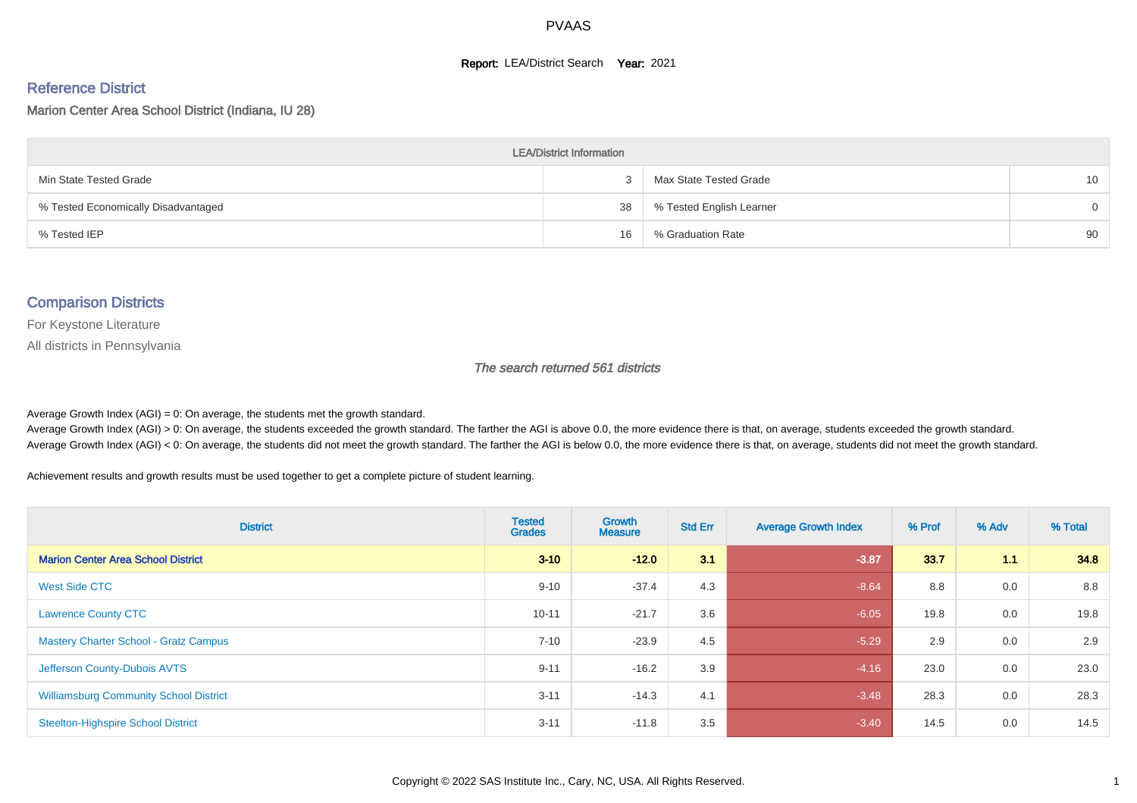#### **Report: LEA/District Search Year: 2021**

#### Reference District

Marion Center Area School District (Indiana, IU 28)

| <b>LEA/District Information</b>     |    |                          |          |  |  |  |  |  |  |
|-------------------------------------|----|--------------------------|----------|--|--|--|--|--|--|
| Min State Tested Grade              |    | Max State Tested Grade   | 10       |  |  |  |  |  |  |
| % Tested Economically Disadvantaged | 38 | % Tested English Learner | $\Omega$ |  |  |  |  |  |  |
| % Tested IEP                        | 16 | % Graduation Rate        | 90       |  |  |  |  |  |  |

#### Comparison Districts

For Keystone Literature

All districts in Pennsylvania

The search returned 561 districts

Average Growth Index  $(AGI) = 0$ : On average, the students met the growth standard.

Average Growth Index (AGI) > 0: On average, the students exceeded the growth standard. The farther the AGI is above 0.0, the more evidence there is that, on average, students exceeded the growth standard. Average Growth Index (AGI) < 0: On average, the students did not meet the growth standard. The farther the AGI is below 0.0, the more evidence there is that, on average, students did not meet the growth standard.

Achievement results and growth results must be used together to get a complete picture of student learning.

| <b>District</b>                               | <b>Tested</b><br><b>Grades</b> | <b>Growth</b><br><b>Measure</b> | <b>Std Err</b> | <b>Average Growth Index</b> | % Prof | % Adv | % Total |
|-----------------------------------------------|--------------------------------|---------------------------------|----------------|-----------------------------|--------|-------|---------|
| <b>Marion Center Area School District</b>     | $3 - 10$                       | $-12.0$                         | 3.1            | $-3.87$                     | 33.7   | 1.1   | 34.8    |
| <b>West Side CTC</b>                          | $9 - 10$                       | $-37.4$                         | 4.3            | $-8.64$                     | 8.8    | 0.0   | 8.8     |
| <b>Lawrence County CTC</b>                    | $10 - 11$                      | $-21.7$                         | 3.6            | $-6.05$                     | 19.8   | 0.0   | 19.8    |
| <b>Mastery Charter School - Gratz Campus</b>  | $7 - 10$                       | $-23.9$                         | 4.5            | $-5.29$                     | 2.9    | 0.0   | 2.9     |
| Jefferson County-Dubois AVTS                  | $9 - 11$                       | $-16.2$                         | 3.9            | $-4.16$                     | 23.0   | 0.0   | 23.0    |
| <b>Williamsburg Community School District</b> | $3 - 11$                       | $-14.3$                         | 4.1            | $-3.48$                     | 28.3   | 0.0   | 28.3    |
| <b>Steelton-Highspire School District</b>     | $3 - 11$                       | $-11.8$                         | 3.5            | $-3.40$                     | 14.5   | 0.0   | 14.5    |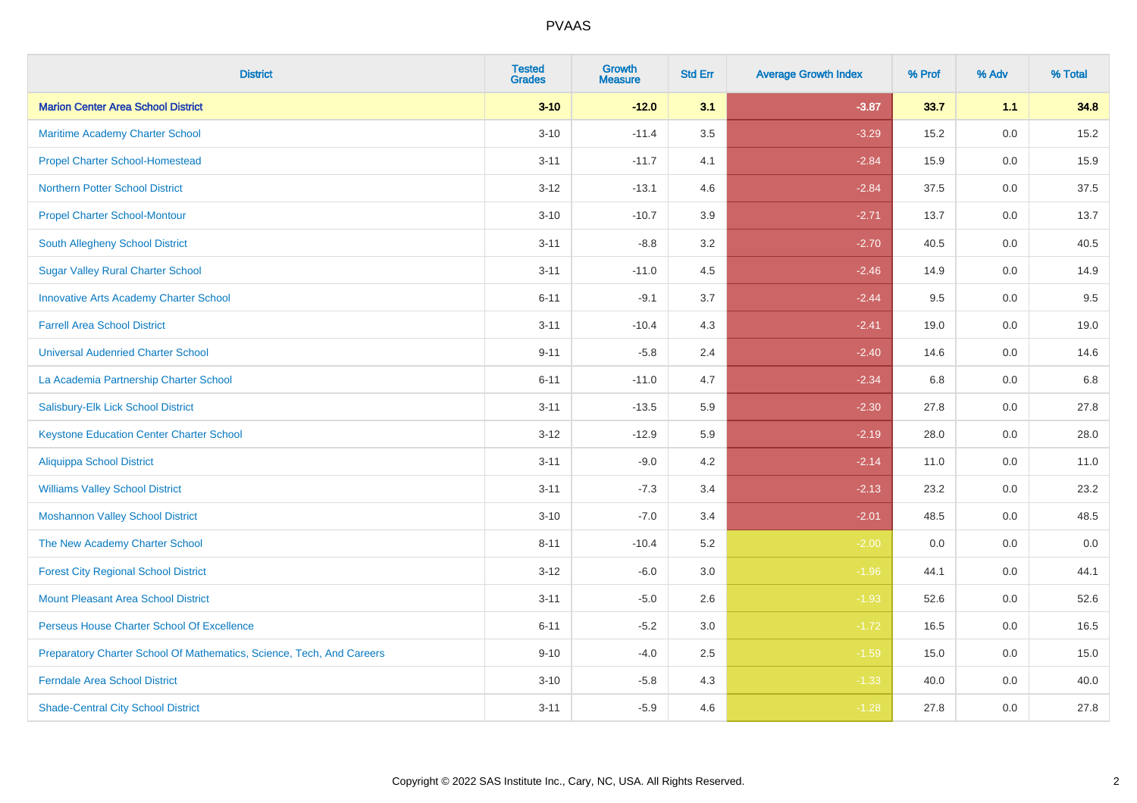| <b>District</b>                                                       | <b>Tested</b><br><b>Grades</b> | <b>Growth</b><br><b>Measure</b> | <b>Std Err</b> | <b>Average Growth Index</b> | % Prof | % Adv   | % Total |
|-----------------------------------------------------------------------|--------------------------------|---------------------------------|----------------|-----------------------------|--------|---------|---------|
| <b>Marion Center Area School District</b>                             | $3 - 10$                       | $-12.0$                         | 3.1            | $-3.87$                     | 33.7   | 1.1     | 34.8    |
| Maritime Academy Charter School                                       | $3 - 10$                       | $-11.4$                         | 3.5            | $-3.29$                     | 15.2   | 0.0     | 15.2    |
| <b>Propel Charter School-Homestead</b>                                | $3 - 11$                       | $-11.7$                         | 4.1            | $-2.84$                     | 15.9   | 0.0     | 15.9    |
| <b>Northern Potter School District</b>                                | $3 - 12$                       | $-13.1$                         | 4.6            | $-2.84$                     | 37.5   | 0.0     | 37.5    |
| <b>Propel Charter School-Montour</b>                                  | $3 - 10$                       | $-10.7$                         | 3.9            | $-2.71$                     | 13.7   | 0.0     | 13.7    |
| South Allegheny School District                                       | $3 - 11$                       | $-8.8$                          | 3.2            | $-2.70$                     | 40.5   | 0.0     | 40.5    |
| <b>Sugar Valley Rural Charter School</b>                              | $3 - 11$                       | $-11.0$                         | 4.5            | $-2.46$                     | 14.9   | 0.0     | 14.9    |
| <b>Innovative Arts Academy Charter School</b>                         | $6 - 11$                       | $-9.1$                          | 3.7            | $-2.44$                     | 9.5    | 0.0     | 9.5     |
| <b>Farrell Area School District</b>                                   | $3 - 11$                       | $-10.4$                         | 4.3            | $-2.41$                     | 19.0   | 0.0     | 19.0    |
| <b>Universal Audenried Charter School</b>                             | $9 - 11$                       | $-5.8$                          | 2.4            | $-2.40$                     | 14.6   | 0.0     | 14.6    |
| La Academia Partnership Charter School                                | $6 - 11$                       | $-11.0$                         | 4.7            | $-2.34$                     | 6.8    | 0.0     | 6.8     |
| Salisbury-Elk Lick School District                                    | $3 - 11$                       | $-13.5$                         | 5.9            | $-2.30$                     | 27.8   | 0.0     | 27.8    |
| <b>Keystone Education Center Charter School</b>                       | $3 - 12$                       | $-12.9$                         | 5.9            | $-2.19$                     | 28.0   | 0.0     | 28.0    |
| <b>Aliquippa School District</b>                                      | $3 - 11$                       | $-9.0$                          | 4.2            | $-2.14$                     | 11.0   | 0.0     | 11.0    |
| <b>Williams Valley School District</b>                                | $3 - 11$                       | $-7.3$                          | 3.4            | $-2.13$                     | 23.2   | 0.0     | 23.2    |
| <b>Moshannon Valley School District</b>                               | $3 - 10$                       | $-7.0$                          | 3.4            | $-2.01$                     | 48.5   | $0.0\,$ | 48.5    |
| The New Academy Charter School                                        | $8 - 11$                       | $-10.4$                         | 5.2            | $-2.00$                     | 0.0    | 0.0     | 0.0     |
| <b>Forest City Regional School District</b>                           | $3 - 12$                       | $-6.0$                          | 3.0            | $-1.96$                     | 44.1   | 0.0     | 44.1    |
| <b>Mount Pleasant Area School District</b>                            | $3 - 11$                       | $-5.0$                          | 2.6            | $-1.93$                     | 52.6   | 0.0     | 52.6    |
| Perseus House Charter School Of Excellence                            | $6 - 11$                       | $-5.2$                          | 3.0            | $-1.72$                     | 16.5   | 0.0     | 16.5    |
| Preparatory Charter School Of Mathematics, Science, Tech, And Careers | $9 - 10$                       | $-4.0$                          | 2.5            | $-1.59$                     | 15.0   | 0.0     | 15.0    |
| <b>Ferndale Area School District</b>                                  | $3 - 10$                       | $-5.8$                          | 4.3            | $-1.33$                     | 40.0   | 0.0     | 40.0    |
| <b>Shade-Central City School District</b>                             | $3 - 11$                       | $-5.9$                          | 4.6            | $-1.28$                     | 27.8   | 0.0     | 27.8    |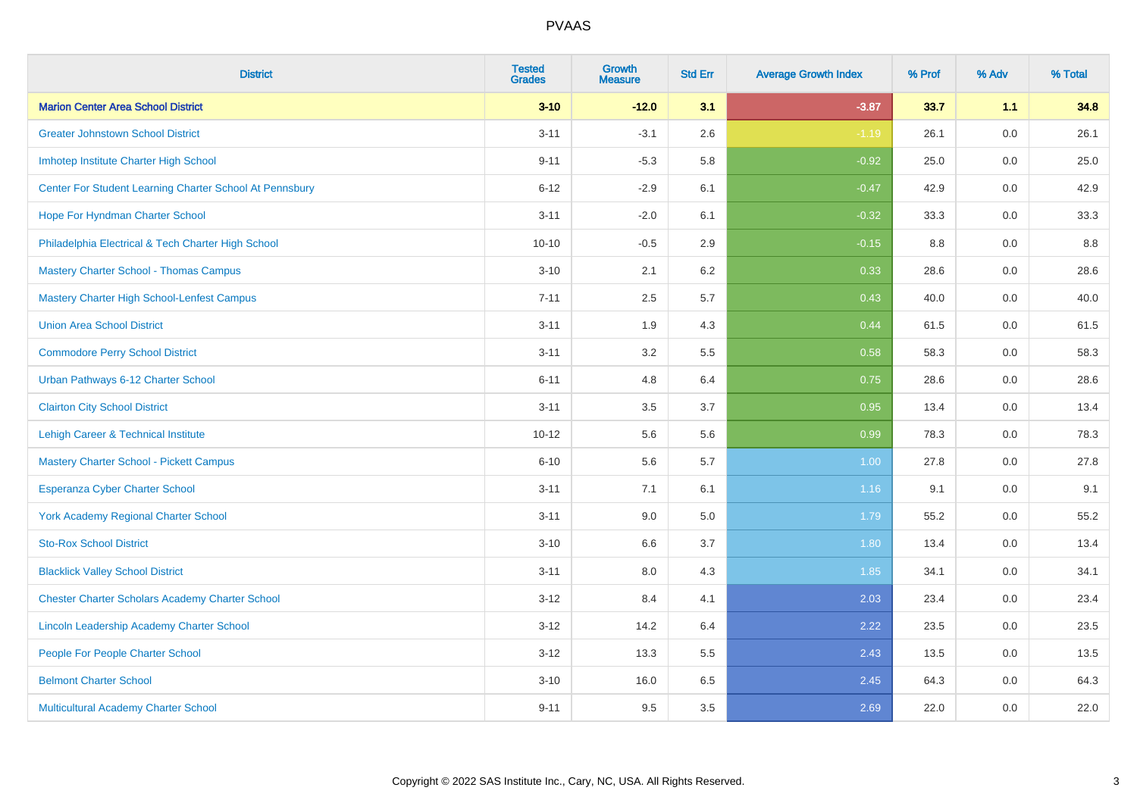| <b>District</b>                                         | <b>Tested</b><br><b>Grades</b> | <b>Growth</b><br><b>Measure</b> | <b>Std Err</b> | <b>Average Growth Index</b> | % Prof | % Adv   | % Total |
|---------------------------------------------------------|--------------------------------|---------------------------------|----------------|-----------------------------|--------|---------|---------|
| <b>Marion Center Area School District</b>               | $3 - 10$                       | $-12.0$                         | 3.1            | $-3.87$                     | 33.7   | 1.1     | 34.8    |
| <b>Greater Johnstown School District</b>                | $3 - 11$                       | $-3.1$                          | 2.6            | $-1.19$                     | 26.1   | 0.0     | 26.1    |
| Imhotep Institute Charter High School                   | $9 - 11$                       | $-5.3$                          | 5.8            | $-0.92$                     | 25.0   | 0.0     | 25.0    |
| Center For Student Learning Charter School At Pennsbury | $6 - 12$                       | $-2.9$                          | 6.1            | $-0.47$                     | 42.9   | 0.0     | 42.9    |
| Hope For Hyndman Charter School                         | $3 - 11$                       | $-2.0$                          | 6.1            | $-0.32$                     | 33.3   | 0.0     | 33.3    |
| Philadelphia Electrical & Tech Charter High School      | $10 - 10$                      | $-0.5$                          | 2.9            | $-0.15$                     | 8.8    | 0.0     | 8.8     |
| <b>Mastery Charter School - Thomas Campus</b>           | $3 - 10$                       | 2.1                             | 6.2            | 0.33                        | 28.6   | 0.0     | 28.6    |
| <b>Mastery Charter High School-Lenfest Campus</b>       | $7 - 11$                       | 2.5                             | 5.7            | 0.43                        | 40.0   | 0.0     | 40.0    |
| <b>Union Area School District</b>                       | $3 - 11$                       | 1.9                             | 4.3            | 0.44                        | 61.5   | 0.0     | 61.5    |
| <b>Commodore Perry School District</b>                  | $3 - 11$                       | 3.2                             | 5.5            | 0.58                        | 58.3   | 0.0     | 58.3    |
| Urban Pathways 6-12 Charter School                      | $6 - 11$                       | 4.8                             | 6.4            | 0.75                        | 28.6   | 0.0     | 28.6    |
| <b>Clairton City School District</b>                    | $3 - 11$                       | 3.5                             | 3.7            | 0.95                        | 13.4   | 0.0     | 13.4    |
| Lehigh Career & Technical Institute                     | $10 - 12$                      | 5.6                             | 5.6            | 0.99                        | 78.3   | 0.0     | 78.3    |
| <b>Mastery Charter School - Pickett Campus</b>          | $6 - 10$                       | 5.6                             | 5.7            | 1.00                        | 27.8   | 0.0     | 27.8    |
| <b>Esperanza Cyber Charter School</b>                   | $3 - 11$                       | 7.1                             | 6.1            | 1.16                        | 9.1    | 0.0     | 9.1     |
| <b>York Academy Regional Charter School</b>             | $3 - 11$                       | 9.0                             | 5.0            | 1.79                        | 55.2   | $0.0\,$ | 55.2    |
| <b>Sto-Rox School District</b>                          | $3 - 10$                       | 6.6                             | 3.7            | 1.80                        | 13.4   | 0.0     | 13.4    |
| <b>Blacklick Valley School District</b>                 | $3 - 11$                       | 8.0                             | 4.3            | 1.85                        | 34.1   | 0.0     | 34.1    |
| <b>Chester Charter Scholars Academy Charter School</b>  | $3 - 12$                       | 8.4                             | 4.1            | 2.03                        | 23.4   | 0.0     | 23.4    |
| Lincoln Leadership Academy Charter School               | $3 - 12$                       | 14.2                            | 6.4            | 2.22                        | 23.5   | 0.0     | 23.5    |
| People For People Charter School                        | $3 - 12$                       | 13.3                            | 5.5            | 2.43                        | 13.5   | 0.0     | 13.5    |
| <b>Belmont Charter School</b>                           | $3 - 10$                       | 16.0                            | 6.5            | 2.45                        | 64.3   | 0.0     | 64.3    |
| Multicultural Academy Charter School                    | $9 - 11$                       | 9.5                             | 3.5            | 2.69                        | 22.0   | 0.0     | 22.0    |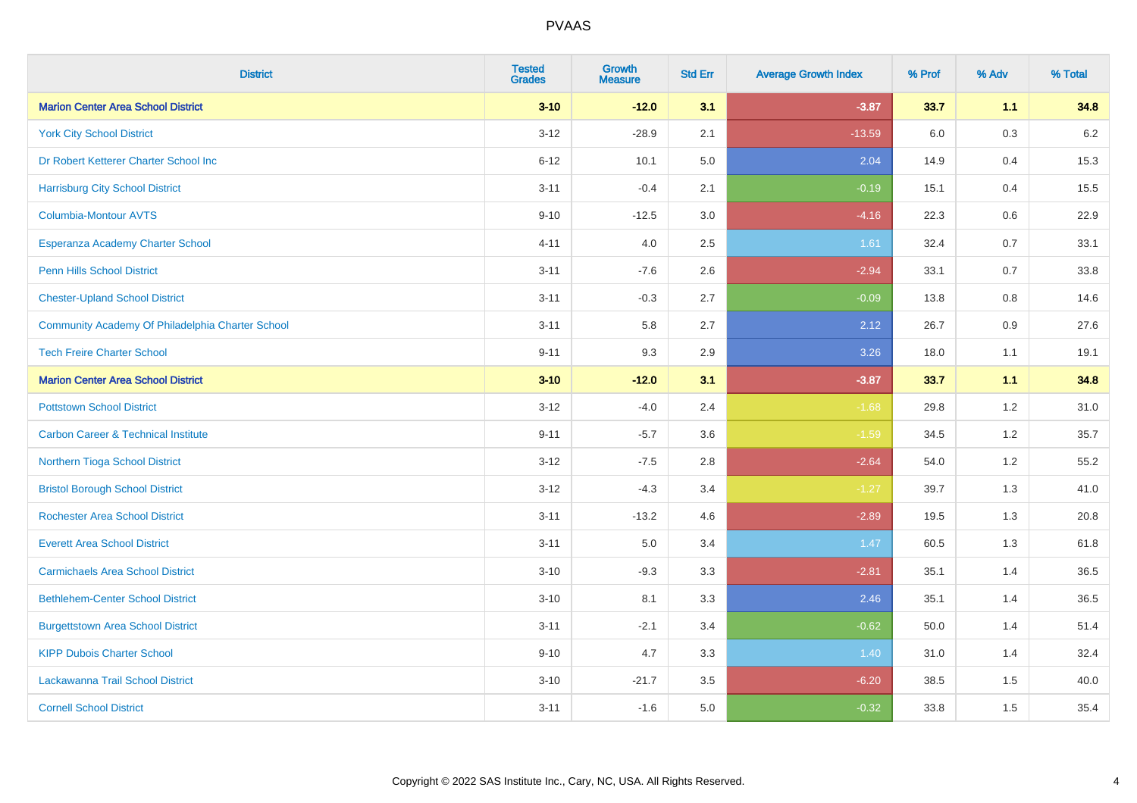| <b>District</b>                                  | <b>Tested</b><br><b>Grades</b> | <b>Growth</b><br><b>Measure</b> | <b>Std Err</b> | <b>Average Growth Index</b> | % Prof | % Adv | % Total |
|--------------------------------------------------|--------------------------------|---------------------------------|----------------|-----------------------------|--------|-------|---------|
| <b>Marion Center Area School District</b>        | $3 - 10$                       | $-12.0$                         | 3.1            | $-3.87$                     | 33.7   | 1.1   | 34.8    |
| <b>York City School District</b>                 | $3 - 12$                       | $-28.9$                         | 2.1            | $-13.59$                    | 6.0    | 0.3   | $6.2\,$ |
| Dr Robert Ketterer Charter School Inc            | $6 - 12$                       | 10.1                            | 5.0            | 2.04                        | 14.9   | 0.4   | 15.3    |
| <b>Harrisburg City School District</b>           | $3 - 11$                       | $-0.4$                          | 2.1            | $-0.19$                     | 15.1   | 0.4   | 15.5    |
| <b>Columbia-Montour AVTS</b>                     | $9 - 10$                       | $-12.5$                         | 3.0            | $-4.16$                     | 22.3   | 0.6   | 22.9    |
| Esperanza Academy Charter School                 | $4 - 11$                       | 4.0                             | 2.5            | 1.61                        | 32.4   | 0.7   | 33.1    |
| Penn Hills School District                       | $3 - 11$                       | $-7.6$                          | 2.6            | $-2.94$                     | 33.1   | 0.7   | 33.8    |
| <b>Chester-Upland School District</b>            | $3 - 11$                       | $-0.3$                          | 2.7            | $-0.09$                     | 13.8   | 0.8   | 14.6    |
| Community Academy Of Philadelphia Charter School | $3 - 11$                       | 5.8                             | 2.7            | 2.12                        | 26.7   | 0.9   | 27.6    |
| <b>Tech Freire Charter School</b>                | $9 - 11$                       | 9.3                             | 2.9            | 3.26                        | 18.0   | 1.1   | 19.1    |
| <b>Marion Center Area School District</b>        | $3 - 10$                       | $-12.0$                         | 3.1            | $-3.87$                     | 33.7   | 1.1   | 34.8    |
| <b>Pottstown School District</b>                 | $3 - 12$                       | $-4.0$                          | 2.4            | $-1.68$                     | 29.8   | 1.2   | 31.0    |
| <b>Carbon Career &amp; Technical Institute</b>   | $9 - 11$                       | $-5.7$                          | 3.6            | $-1.59$                     | 34.5   | 1.2   | 35.7    |
| Northern Tioga School District                   | $3 - 12$                       | $-7.5$                          | 2.8            | $-2.64$                     | 54.0   | 1.2   | 55.2    |
| <b>Bristol Borough School District</b>           | $3 - 12$                       | $-4.3$                          | 3.4            | $-1.27$                     | 39.7   | 1.3   | 41.0    |
| <b>Rochester Area School District</b>            | $3 - 11$                       | $-13.2$                         | 4.6            | $-2.89$                     | 19.5   | 1.3   | 20.8    |
| <b>Everett Area School District</b>              | $3 - 11$                       | 5.0                             | 3.4            | 1.47                        | 60.5   | 1.3   | 61.8    |
| <b>Carmichaels Area School District</b>          | $3 - 10$                       | $-9.3$                          | 3.3            | $-2.81$                     | 35.1   | 1.4   | 36.5    |
| <b>Bethlehem-Center School District</b>          | $3 - 10$                       | 8.1                             | 3.3            | 2.46                        | 35.1   | 1.4   | 36.5    |
| <b>Burgettstown Area School District</b>         | $3 - 11$                       | $-2.1$                          | 3.4            | $-0.62$                     | 50.0   | 1.4   | 51.4    |
| <b>KIPP Dubois Charter School</b>                | $9 - 10$                       | 4.7                             | 3.3            | 1.40                        | 31.0   | 1.4   | 32.4    |
| Lackawanna Trail School District                 | $3 - 10$                       | $-21.7$                         | 3.5            | $-6.20$                     | 38.5   | 1.5   | 40.0    |
| <b>Cornell School District</b>                   | $3 - 11$                       | $-1.6$                          | 5.0            | $-0.32$                     | 33.8   | 1.5   | 35.4    |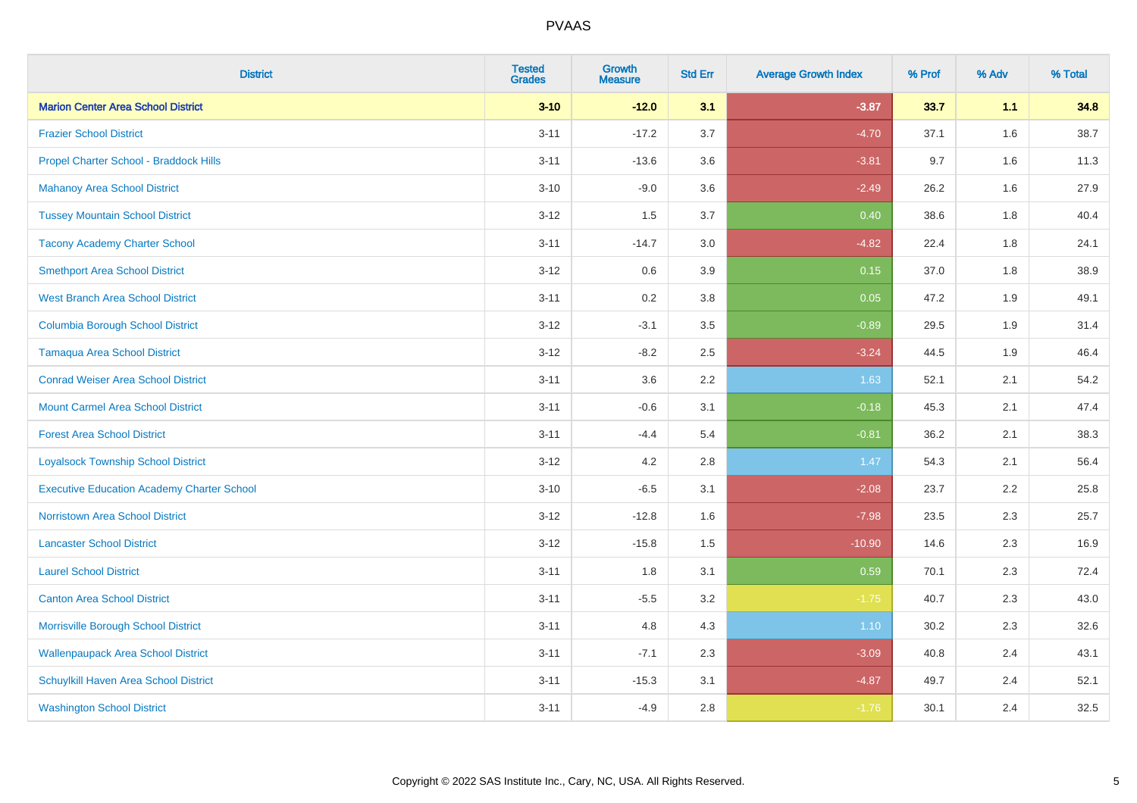| <b>District</b>                                   | <b>Tested</b><br><b>Grades</b> | <b>Growth</b><br><b>Measure</b> | <b>Std Err</b> | <b>Average Growth Index</b> | % Prof | % Adv | % Total |
|---------------------------------------------------|--------------------------------|---------------------------------|----------------|-----------------------------|--------|-------|---------|
| <b>Marion Center Area School District</b>         | $3 - 10$                       | $-12.0$                         | 3.1            | $-3.87$                     | 33.7   | 1.1   | 34.8    |
| <b>Frazier School District</b>                    | $3 - 11$                       | $-17.2$                         | 3.7            | $-4.70$                     | 37.1   | 1.6   | 38.7    |
| Propel Charter School - Braddock Hills            | $3 - 11$                       | $-13.6$                         | 3.6            | $-3.81$                     | 9.7    | 1.6   | 11.3    |
| <b>Mahanoy Area School District</b>               | $3 - 10$                       | $-9.0$                          | 3.6            | $-2.49$                     | 26.2   | 1.6   | 27.9    |
| <b>Tussey Mountain School District</b>            | $3 - 12$                       | 1.5                             | 3.7            | 0.40                        | 38.6   | 1.8   | 40.4    |
| <b>Tacony Academy Charter School</b>              | $3 - 11$                       | $-14.7$                         | 3.0            | $-4.82$                     | 22.4   | 1.8   | 24.1    |
| <b>Smethport Area School District</b>             | $3 - 12$                       | 0.6                             | 3.9            | 0.15                        | 37.0   | 1.8   | 38.9    |
| <b>West Branch Area School District</b>           | $3 - 11$                       | 0.2                             | 3.8            | 0.05                        | 47.2   | 1.9   | 49.1    |
| <b>Columbia Borough School District</b>           | $3 - 12$                       | $-3.1$                          | 3.5            | $-0.89$                     | 29.5   | 1.9   | 31.4    |
| <b>Tamaqua Area School District</b>               | $3 - 12$                       | $-8.2$                          | 2.5            | $-3.24$                     | 44.5   | 1.9   | 46.4    |
| <b>Conrad Weiser Area School District</b>         | $3 - 11$                       | 3.6                             | 2.2            | 1.63                        | 52.1   | 2.1   | 54.2    |
| <b>Mount Carmel Area School District</b>          | $3 - 11$                       | $-0.6$                          | 3.1            | $-0.18$                     | 45.3   | 2.1   | 47.4    |
| <b>Forest Area School District</b>                | $3 - 11$                       | $-4.4$                          | 5.4            | $-0.81$                     | 36.2   | 2.1   | 38.3    |
| <b>Loyalsock Township School District</b>         | $3 - 12$                       | 4.2                             | 2.8            | 1.47                        | 54.3   | 2.1   | 56.4    |
| <b>Executive Education Academy Charter School</b> | $3 - 10$                       | $-6.5$                          | 3.1            | $-2.08$                     | 23.7   | 2.2   | 25.8    |
| <b>Norristown Area School District</b>            | $3 - 12$                       | $-12.8$                         | 1.6            | $-7.98$                     | 23.5   | 2.3   | 25.7    |
| <b>Lancaster School District</b>                  | $3 - 12$                       | $-15.8$                         | 1.5            | $-10.90$                    | 14.6   | 2.3   | 16.9    |
| <b>Laurel School District</b>                     | $3 - 11$                       | 1.8                             | 3.1            | 0.59                        | 70.1   | 2.3   | 72.4    |
| <b>Canton Area School District</b>                | $3 - 11$                       | $-5.5$                          | 3.2            | $-1.75$                     | 40.7   | 2.3   | 43.0    |
| Morrisville Borough School District               | $3 - 11$                       | 4.8                             | 4.3            | 1.10                        | 30.2   | 2.3   | 32.6    |
| <b>Wallenpaupack Area School District</b>         | $3 - 11$                       | $-7.1$                          | 2.3            | $-3.09$                     | 40.8   | 2.4   | 43.1    |
| Schuylkill Haven Area School District             | $3 - 11$                       | $-15.3$                         | 3.1            | $-4.87$                     | 49.7   | 2.4   | 52.1    |
| <b>Washington School District</b>                 | $3 - 11$                       | $-4.9$                          | 2.8            | $-1.76$                     | 30.1   | 2.4   | 32.5    |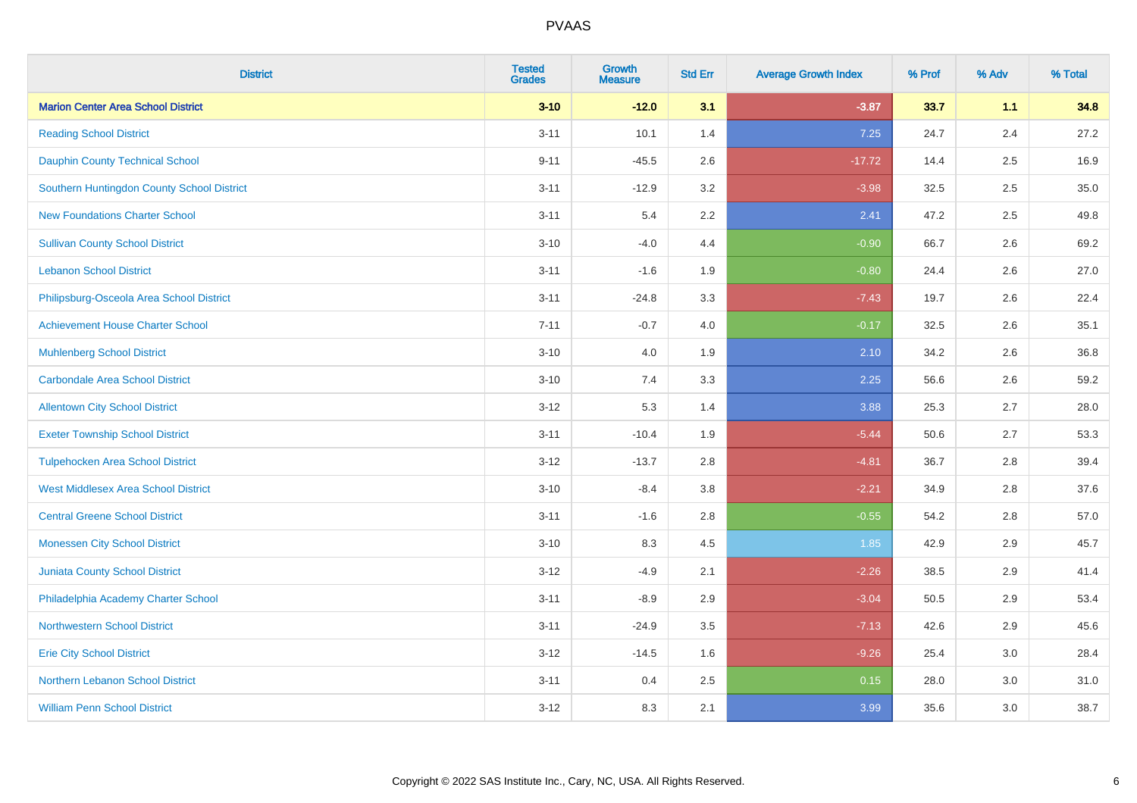| <b>District</b>                            | <b>Tested</b><br><b>Grades</b> | <b>Growth</b><br><b>Measure</b> | <b>Std Err</b> | <b>Average Growth Index</b> | % Prof | % Adv | % Total |
|--------------------------------------------|--------------------------------|---------------------------------|----------------|-----------------------------|--------|-------|---------|
| <b>Marion Center Area School District</b>  | $3 - 10$                       | $-12.0$                         | 3.1            | $-3.87$                     | 33.7   | 1.1   | 34.8    |
| <b>Reading School District</b>             | $3 - 11$                       | 10.1                            | 1.4            | 7.25                        | 24.7   | 2.4   | 27.2    |
| <b>Dauphin County Technical School</b>     | $9 - 11$                       | $-45.5$                         | 2.6            | $-17.72$                    | 14.4   | 2.5   | 16.9    |
| Southern Huntingdon County School District | $3 - 11$                       | $-12.9$                         | 3.2            | $-3.98$                     | 32.5   | 2.5   | 35.0    |
| <b>New Foundations Charter School</b>      | $3 - 11$                       | 5.4                             | 2.2            | 2.41                        | 47.2   | 2.5   | 49.8    |
| <b>Sullivan County School District</b>     | $3 - 10$                       | $-4.0$                          | 4.4            | $-0.90$                     | 66.7   | 2.6   | 69.2    |
| <b>Lebanon School District</b>             | $3 - 11$                       | $-1.6$                          | 1.9            | $-0.80$                     | 24.4   | 2.6   | 27.0    |
| Philipsburg-Osceola Area School District   | $3 - 11$                       | $-24.8$                         | 3.3            | $-7.43$                     | 19.7   | 2.6   | 22.4    |
| <b>Achievement House Charter School</b>    | $7 - 11$                       | $-0.7$                          | 4.0            | $-0.17$                     | 32.5   | 2.6   | 35.1    |
| <b>Muhlenberg School District</b>          | $3 - 10$                       | 4.0                             | 1.9            | 2.10                        | 34.2   | 2.6   | 36.8    |
| <b>Carbondale Area School District</b>     | $3 - 10$                       | 7.4                             | 3.3            | 2.25                        | 56.6   | 2.6   | 59.2    |
| <b>Allentown City School District</b>      | $3 - 12$                       | 5.3                             | 1.4            | 3.88                        | 25.3   | 2.7   | 28.0    |
| <b>Exeter Township School District</b>     | $3 - 11$                       | $-10.4$                         | 1.9            | $-5.44$                     | 50.6   | 2.7   | 53.3    |
| <b>Tulpehocken Area School District</b>    | $3 - 12$                       | $-13.7$                         | 2.8            | $-4.81$                     | 36.7   | 2.8   | 39.4    |
| <b>West Middlesex Area School District</b> | $3 - 10$                       | $-8.4$                          | $3.8\,$        | $-2.21$                     | 34.9   | 2.8   | 37.6    |
| <b>Central Greene School District</b>      | $3 - 11$                       | $-1.6$                          | 2.8            | $-0.55$                     | 54.2   | 2.8   | 57.0    |
| <b>Monessen City School District</b>       | $3 - 10$                       | 8.3                             | 4.5            | 1.85                        | 42.9   | 2.9   | 45.7    |
| Juniata County School District             | $3 - 12$                       | $-4.9$                          | 2.1            | $-2.26$                     | 38.5   | 2.9   | 41.4    |
| Philadelphia Academy Charter School        | $3 - 11$                       | $-8.9$                          | 2.9            | $-3.04$                     | 50.5   | 2.9   | 53.4    |
| <b>Northwestern School District</b>        | $3 - 11$                       | $-24.9$                         | 3.5            | $-7.13$                     | 42.6   | 2.9   | 45.6    |
| <b>Erie City School District</b>           | $3 - 12$                       | $-14.5$                         | 1.6            | $-9.26$                     | 25.4   | 3.0   | 28.4    |
| Northern Lebanon School District           | $3 - 11$                       | 0.4                             | 2.5            | 0.15                        | 28.0   | 3.0   | 31.0    |
| <b>William Penn School District</b>        | $3 - 12$                       | 8.3                             | 2.1            | 3.99                        | 35.6   | 3.0   | 38.7    |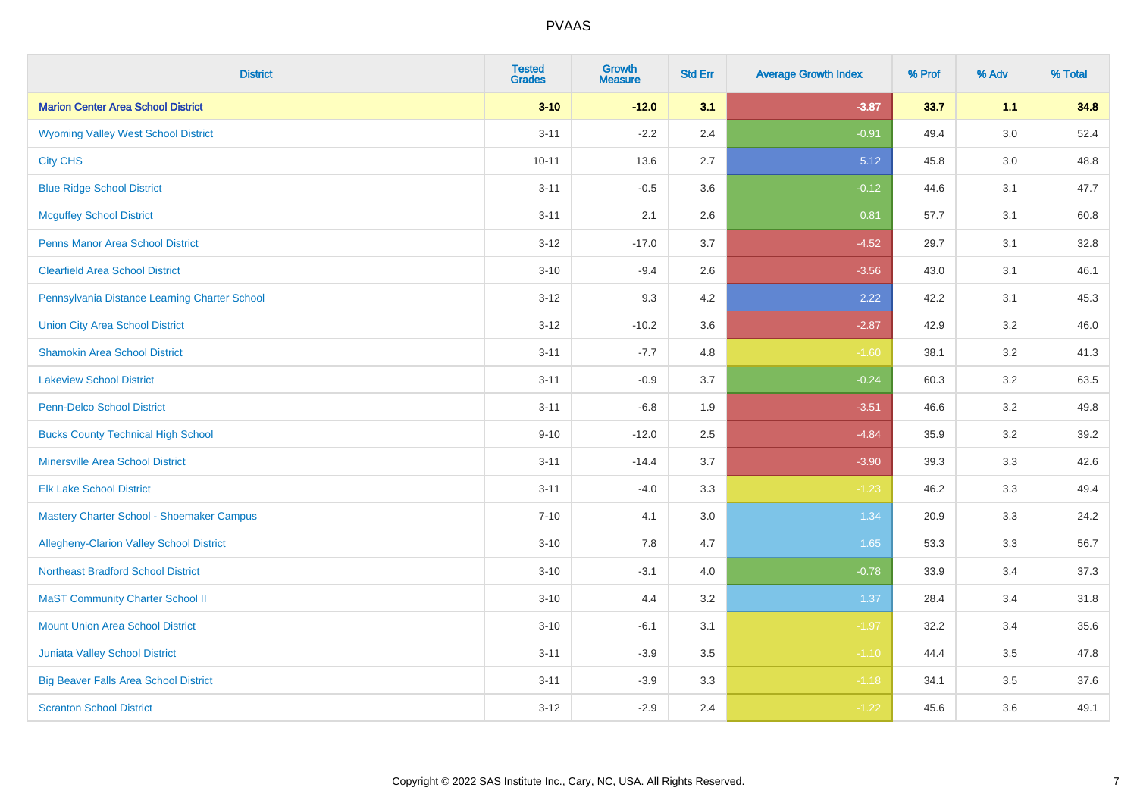| <b>District</b>                                 | <b>Tested</b><br><b>Grades</b> | <b>Growth</b><br><b>Measure</b> | <b>Std Err</b> | <b>Average Growth Index</b> | % Prof | % Adv | % Total |
|-------------------------------------------------|--------------------------------|---------------------------------|----------------|-----------------------------|--------|-------|---------|
| <b>Marion Center Area School District</b>       | $3 - 10$                       | $-12.0$                         | 3.1            | $-3.87$                     | 33.7   | 1.1   | 34.8    |
| <b>Wyoming Valley West School District</b>      | $3 - 11$                       | $-2.2$                          | 2.4            | $-0.91$                     | 49.4   | 3.0   | 52.4    |
| <b>City CHS</b>                                 | $10 - 11$                      | 13.6                            | 2.7            | 5.12                        | 45.8   | 3.0   | 48.8    |
| <b>Blue Ridge School District</b>               | $3 - 11$                       | $-0.5$                          | 3.6            | $-0.12$                     | 44.6   | 3.1   | 47.7    |
| <b>Mcguffey School District</b>                 | $3 - 11$                       | 2.1                             | 2.6            | 0.81                        | 57.7   | 3.1   | 60.8    |
| <b>Penns Manor Area School District</b>         | $3 - 12$                       | $-17.0$                         | 3.7            | $-4.52$                     | 29.7   | 3.1   | 32.8    |
| <b>Clearfield Area School District</b>          | $3 - 10$                       | $-9.4$                          | 2.6            | $-3.56$                     | 43.0   | 3.1   | 46.1    |
| Pennsylvania Distance Learning Charter School   | $3 - 12$                       | 9.3                             | 4.2            | 2.22                        | 42.2   | 3.1   | 45.3    |
| <b>Union City Area School District</b>          | $3 - 12$                       | $-10.2$                         | 3.6            | $-2.87$                     | 42.9   | 3.2   | 46.0    |
| <b>Shamokin Area School District</b>            | $3 - 11$                       | $-7.7$                          | 4.8            | $-1.60$                     | 38.1   | 3.2   | 41.3    |
| <b>Lakeview School District</b>                 | $3 - 11$                       | $-0.9$                          | 3.7            | $-0.24$                     | 60.3   | 3.2   | 63.5    |
| <b>Penn-Delco School District</b>               | $3 - 11$                       | $-6.8$                          | 1.9            | $-3.51$                     | 46.6   | 3.2   | 49.8    |
| <b>Bucks County Technical High School</b>       | $9 - 10$                       | $-12.0$                         | 2.5            | $-4.84$                     | 35.9   | 3.2   | 39.2    |
| <b>Minersville Area School District</b>         | $3 - 11$                       | $-14.4$                         | 3.7            | $-3.90$                     | 39.3   | 3.3   | 42.6    |
| <b>Elk Lake School District</b>                 | $3 - 11$                       | $-4.0$                          | 3.3            | $-1.23$                     | 46.2   | 3.3   | 49.4    |
| Mastery Charter School - Shoemaker Campus       | $7 - 10$                       | 4.1                             | 3.0            | 1.34                        | 20.9   | 3.3   | 24.2    |
| <b>Allegheny-Clarion Valley School District</b> | $3 - 10$                       | 7.8                             | 4.7            | 1.65                        | 53.3   | 3.3   | 56.7    |
| <b>Northeast Bradford School District</b>       | $3 - 10$                       | $-3.1$                          | 4.0            | $-0.78$                     | 33.9   | 3.4   | 37.3    |
| <b>MaST Community Charter School II</b>         | $3 - 10$                       | 4.4                             | 3.2            | 1.37                        | 28.4   | 3.4   | 31.8    |
| <b>Mount Union Area School District</b>         | $3 - 10$                       | $-6.1$                          | 3.1            | $-1.97$                     | 32.2   | 3.4   | 35.6    |
| <b>Juniata Valley School District</b>           | $3 - 11$                       | $-3.9$                          | 3.5            | $-1.10$                     | 44.4   | 3.5   | 47.8    |
| <b>Big Beaver Falls Area School District</b>    | $3 - 11$                       | $-3.9$                          | 3.3            | $-1.18$                     | 34.1   | 3.5   | 37.6    |
| <b>Scranton School District</b>                 | $3 - 12$                       | $-2.9$                          | 2.4            | $-1.22$                     | 45.6   | 3.6   | 49.1    |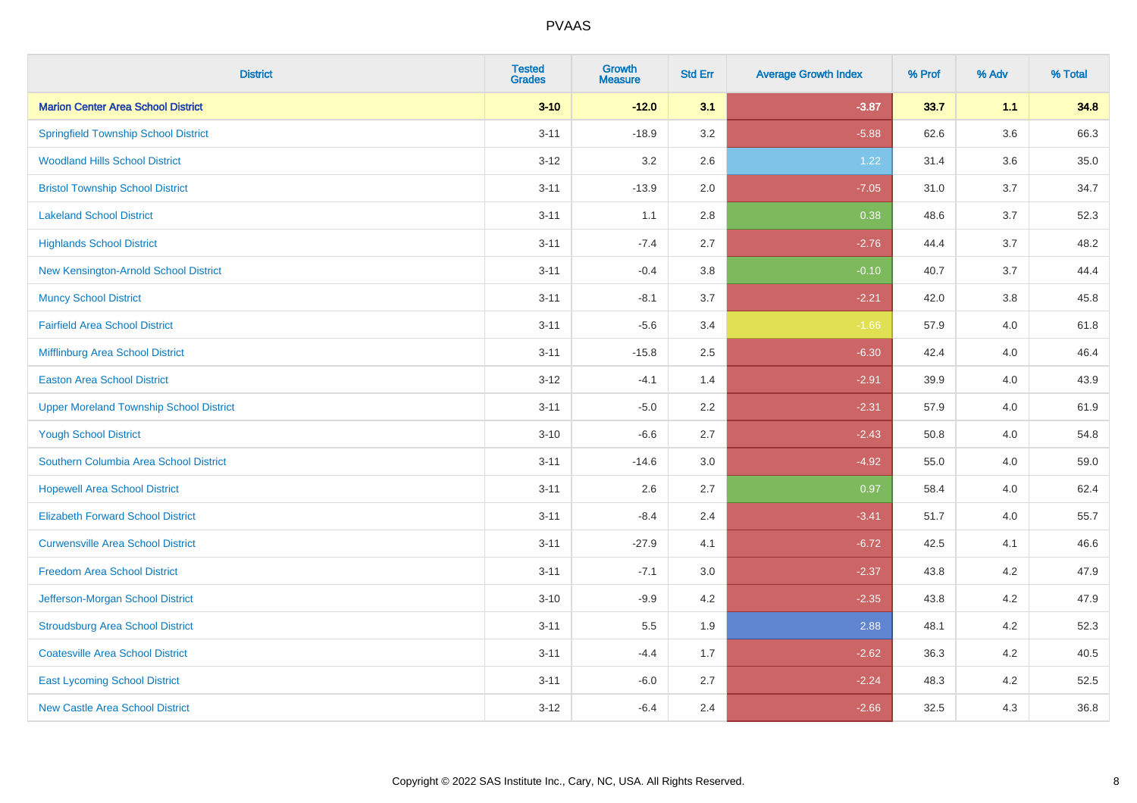| <b>District</b>                                | <b>Tested</b><br><b>Grades</b> | <b>Growth</b><br><b>Measure</b> | <b>Std Err</b> | <b>Average Growth Index</b> | % Prof | % Adv   | % Total |
|------------------------------------------------|--------------------------------|---------------------------------|----------------|-----------------------------|--------|---------|---------|
| <b>Marion Center Area School District</b>      | $3 - 10$                       | $-12.0$                         | 3.1            | $-3.87$                     | 33.7   | 1.1     | 34.8    |
| <b>Springfield Township School District</b>    | $3 - 11$                       | $-18.9$                         | 3.2            | $-5.88$                     | 62.6   | $3.6\,$ | 66.3    |
| <b>Woodland Hills School District</b>          | $3 - 12$                       | 3.2                             | 2.6            | 1.22                        | 31.4   | 3.6     | 35.0    |
| <b>Bristol Township School District</b>        | $3 - 11$                       | $-13.9$                         | 2.0            | $-7.05$                     | 31.0   | 3.7     | 34.7    |
| <b>Lakeland School District</b>                | $3 - 11$                       | 1.1                             | 2.8            | 0.38                        | 48.6   | 3.7     | 52.3    |
| <b>Highlands School District</b>               | $3 - 11$                       | $-7.4$                          | 2.7            | $-2.76$                     | 44.4   | 3.7     | 48.2    |
| New Kensington-Arnold School District          | $3 - 11$                       | $-0.4$                          | 3.8            | $-0.10$                     | 40.7   | 3.7     | 44.4    |
| <b>Muncy School District</b>                   | $3 - 11$                       | $-8.1$                          | 3.7            | $-2.21$                     | 42.0   | 3.8     | 45.8    |
| <b>Fairfield Area School District</b>          | $3 - 11$                       | $-5.6$                          | 3.4            | $-1.66$                     | 57.9   | 4.0     | 61.8    |
| Mifflinburg Area School District               | $3 - 11$                       | $-15.8$                         | 2.5            | $-6.30$                     | 42.4   | 4.0     | 46.4    |
| <b>Easton Area School District</b>             | $3 - 12$                       | $-4.1$                          | 1.4            | $-2.91$                     | 39.9   | 4.0     | 43.9    |
| <b>Upper Moreland Township School District</b> | $3 - 11$                       | $-5.0$                          | 2.2            | $-2.31$                     | 57.9   | 4.0     | 61.9    |
| <b>Yough School District</b>                   | $3 - 10$                       | $-6.6$                          | 2.7            | $-2.43$                     | 50.8   | 4.0     | 54.8    |
| Southern Columbia Area School District         | $3 - 11$                       | $-14.6$                         | 3.0            | $-4.92$                     | 55.0   | 4.0     | 59.0    |
| <b>Hopewell Area School District</b>           | $3 - 11$                       | 2.6                             | 2.7            | 0.97                        | 58.4   | 4.0     | 62.4    |
| <b>Elizabeth Forward School District</b>       | $3 - 11$                       | $-8.4$                          | 2.4            | $-3.41$                     | 51.7   | 4.0     | 55.7    |
| <b>Curwensville Area School District</b>       | $3 - 11$                       | $-27.9$                         | 4.1            | $-6.72$                     | 42.5   | 4.1     | 46.6    |
| <b>Freedom Area School District</b>            | $3 - 11$                       | $-7.1$                          | 3.0            | $-2.37$                     | 43.8   | 4.2     | 47.9    |
| Jefferson-Morgan School District               | $3 - 10$                       | $-9.9$                          | 4.2            | $-2.35$                     | 43.8   | 4.2     | 47.9    |
| <b>Stroudsburg Area School District</b>        | $3 - 11$                       | 5.5                             | 1.9            | 2.88                        | 48.1   | 4.2     | 52.3    |
| <b>Coatesville Area School District</b>        | $3 - 11$                       | $-4.4$                          | 1.7            | $-2.62$                     | 36.3   | 4.2     | 40.5    |
| <b>East Lycoming School District</b>           | $3 - 11$                       | $-6.0$                          | 2.7            | $-2.24$                     | 48.3   | 4.2     | 52.5    |
| <b>New Castle Area School District</b>         | $3 - 12$                       | $-6.4$                          | 2.4            | $-2.66$                     | 32.5   | 4.3     | 36.8    |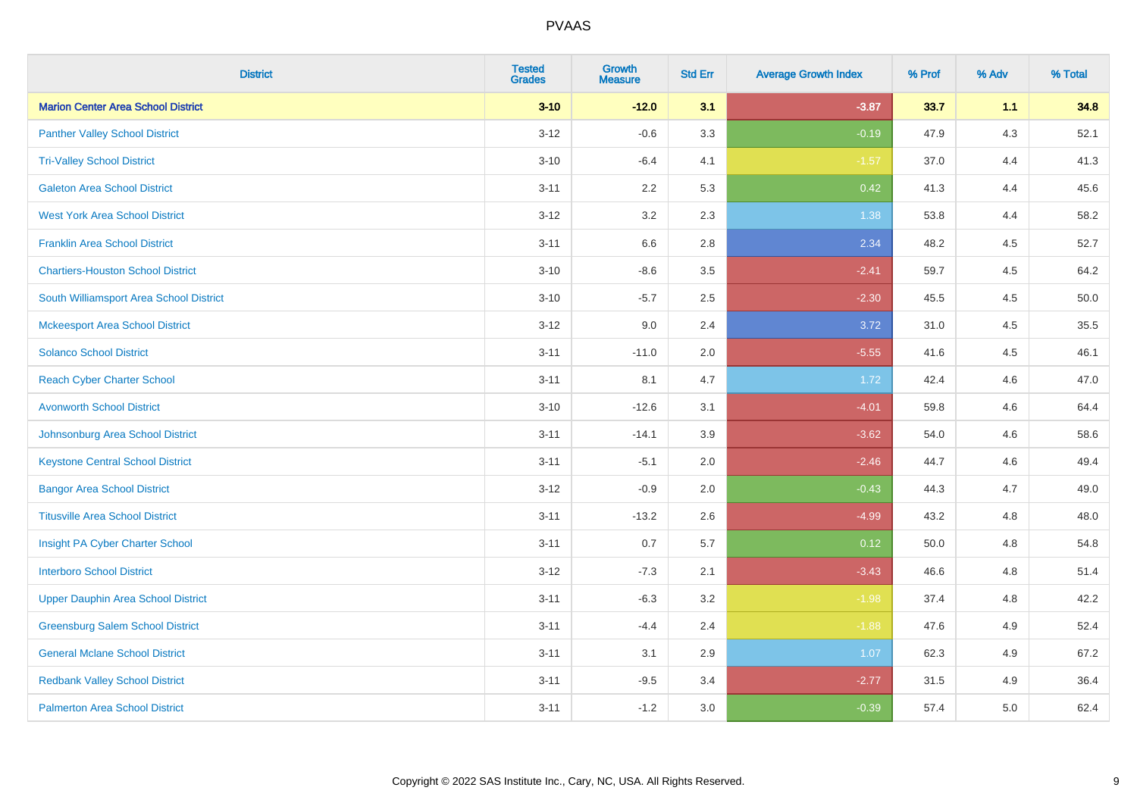| <b>District</b>                           | <b>Tested</b><br><b>Grades</b> | <b>Growth</b><br><b>Measure</b> | <b>Std Err</b> | <b>Average Growth Index</b> | % Prof | % Adv   | % Total |
|-------------------------------------------|--------------------------------|---------------------------------|----------------|-----------------------------|--------|---------|---------|
| <b>Marion Center Area School District</b> | $3 - 10$                       | $-12.0$                         | 3.1            | $-3.87$                     | 33.7   | 1.1     | 34.8    |
| <b>Panther Valley School District</b>     | $3 - 12$                       | $-0.6$                          | 3.3            | $-0.19$                     | 47.9   | $4.3$   | 52.1    |
| <b>Tri-Valley School District</b>         | $3 - 10$                       | $-6.4$                          | 4.1            | $-1.57$                     | 37.0   | 4.4     | 41.3    |
| <b>Galeton Area School District</b>       | $3 - 11$                       | 2.2                             | 5.3            | 0.42                        | 41.3   | 4.4     | 45.6    |
| <b>West York Area School District</b>     | $3 - 12$                       | 3.2                             | 2.3            | 1.38                        | 53.8   | 4.4     | 58.2    |
| <b>Franklin Area School District</b>      | $3 - 11$                       | 6.6                             | 2.8            | 2.34                        | 48.2   | 4.5     | 52.7    |
| <b>Chartiers-Houston School District</b>  | $3 - 10$                       | $-8.6$                          | 3.5            | $-2.41$                     | 59.7   | 4.5     | 64.2    |
| South Williamsport Area School District   | $3 - 10$                       | $-5.7$                          | 2.5            | $-2.30$                     | 45.5   | 4.5     | 50.0    |
| <b>Mckeesport Area School District</b>    | $3 - 12$                       | 9.0                             | 2.4            | 3.72                        | 31.0   | 4.5     | 35.5    |
| <b>Solanco School District</b>            | $3 - 11$                       | $-11.0$                         | 2.0            | $-5.55$                     | 41.6   | $4.5\,$ | 46.1    |
| <b>Reach Cyber Charter School</b>         | $3 - 11$                       | 8.1                             | 4.7            | 1.72                        | 42.4   | 4.6     | 47.0    |
| <b>Avonworth School District</b>          | $3 - 10$                       | $-12.6$                         | 3.1            | $-4.01$                     | 59.8   | 4.6     | 64.4    |
| Johnsonburg Area School District          | $3 - 11$                       | $-14.1$                         | 3.9            | $-3.62$                     | 54.0   | 4.6     | 58.6    |
| <b>Keystone Central School District</b>   | $3 - 11$                       | $-5.1$                          | 2.0            | $-2.46$                     | 44.7   | 4.6     | 49.4    |
| <b>Bangor Area School District</b>        | $3-12$                         | $-0.9$                          | 2.0            | $-0.43$                     | 44.3   | 4.7     | 49.0    |
| <b>Titusville Area School District</b>    | $3 - 11$                       | $-13.2$                         | 2.6            | $-4.99$                     | 43.2   | 4.8     | 48.0    |
| Insight PA Cyber Charter School           | $3 - 11$                       | 0.7                             | 5.7            | 0.12                        | 50.0   | 4.8     | 54.8    |
| <b>Interboro School District</b>          | $3 - 12$                       | $-7.3$                          | 2.1            | $-3.43$                     | 46.6   | 4.8     | 51.4    |
| <b>Upper Dauphin Area School District</b> | $3 - 11$                       | $-6.3$                          | 3.2            | $-1.98$                     | 37.4   | 4.8     | 42.2    |
| <b>Greensburg Salem School District</b>   | $3 - 11$                       | $-4.4$                          | 2.4            | $-1.88$                     | 47.6   | 4.9     | 52.4    |
| <b>General Mclane School District</b>     | $3 - 11$                       | 3.1                             | 2.9            | 1.07                        | 62.3   | 4.9     | 67.2    |
| <b>Redbank Valley School District</b>     | $3 - 11$                       | $-9.5$                          | 3.4            | $-2.77$                     | 31.5   | 4.9     | 36.4    |
| <b>Palmerton Area School District</b>     | $3 - 11$                       | $-1.2$                          | 3.0            | $-0.39$                     | 57.4   | 5.0     | 62.4    |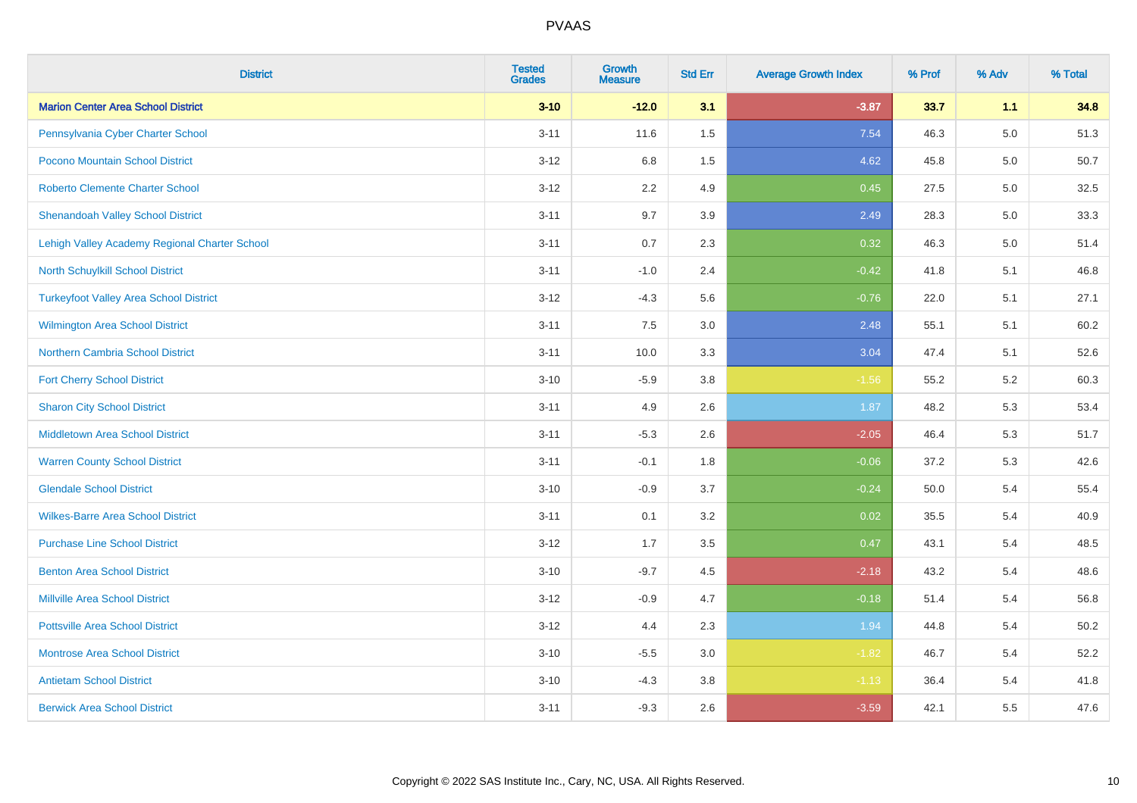| <b>District</b>                               | <b>Tested</b><br><b>Grades</b> | <b>Growth</b><br><b>Measure</b> | <b>Std Err</b> | <b>Average Growth Index</b> | % Prof | % Adv   | % Total  |
|-----------------------------------------------|--------------------------------|---------------------------------|----------------|-----------------------------|--------|---------|----------|
| <b>Marion Center Area School District</b>     | $3 - 10$                       | $-12.0$                         | 3.1            | $-3.87$                     | 33.7   | 1.1     | 34.8     |
| Pennsylvania Cyber Charter School             | $3 - 11$                       | 11.6                            | $1.5$          | 7.54                        | 46.3   | $5.0\,$ | 51.3     |
| Pocono Mountain School District               | $3 - 12$                       | 6.8                             | 1.5            | 4.62                        | 45.8   | 5.0     | $50.7\,$ |
| <b>Roberto Clemente Charter School</b>        | $3 - 12$                       | 2.2                             | 4.9            | 0.45                        | 27.5   | 5.0     | 32.5     |
| <b>Shenandoah Valley School District</b>      | $3 - 11$                       | 9.7                             | 3.9            | 2.49                        | 28.3   | 5.0     | 33.3     |
| Lehigh Valley Academy Regional Charter School | $3 - 11$                       | 0.7                             | 2.3            | 0.32                        | 46.3   | 5.0     | 51.4     |
| North Schuylkill School District              | $3 - 11$                       | $-1.0$                          | 2.4            | $-0.42$                     | 41.8   | 5.1     | 46.8     |
| <b>Turkeyfoot Valley Area School District</b> | $3 - 12$                       | $-4.3$                          | 5.6            | $-0.76$                     | 22.0   | 5.1     | 27.1     |
| <b>Wilmington Area School District</b>        | $3 - 11$                       | 7.5                             | 3.0            | 2.48                        | 55.1   | 5.1     | 60.2     |
| Northern Cambria School District              | $3 - 11$                       | 10.0                            | 3.3            | 3.04                        | 47.4   | 5.1     | 52.6     |
| <b>Fort Cherry School District</b>            | $3 - 10$                       | $-5.9$                          | 3.8            | $-1.56$                     | 55.2   | 5.2     | 60.3     |
| <b>Sharon City School District</b>            | $3 - 11$                       | 4.9                             | 2.6            | 1.87                        | 48.2   | 5.3     | 53.4     |
| Middletown Area School District               | $3 - 11$                       | $-5.3$                          | 2.6            | $-2.05$                     | 46.4   | 5.3     | 51.7     |
| <b>Warren County School District</b>          | $3 - 11$                       | $-0.1$                          | 1.8            | $-0.06$                     | 37.2   | 5.3     | 42.6     |
| <b>Glendale School District</b>               | $3 - 10$                       | $-0.9$                          | 3.7            | $-0.24$                     | 50.0   | 5.4     | 55.4     |
| <b>Wilkes-Barre Area School District</b>      | $3 - 11$                       | 0.1                             | 3.2            | 0.02                        | 35.5   | 5.4     | 40.9     |
| <b>Purchase Line School District</b>          | $3 - 12$                       | 1.7                             | 3.5            | 0.47                        | 43.1   | 5.4     | 48.5     |
| <b>Benton Area School District</b>            | $3 - 10$                       | $-9.7$                          | 4.5            | $-2.18$                     | 43.2   | 5.4     | 48.6     |
| Millville Area School District                | $3 - 12$                       | $-0.9$                          | 4.7            | $-0.18$                     | 51.4   | 5.4     | 56.8     |
| <b>Pottsville Area School District</b>        | $3 - 12$                       | 4.4                             | 2.3            | 1.94                        | 44.8   | 5.4     | 50.2     |
| <b>Montrose Area School District</b>          | $3 - 10$                       | $-5.5$                          | 3.0            | $-1.82$                     | 46.7   | 5.4     | 52.2     |
| <b>Antietam School District</b>               | $3 - 10$                       | $-4.3$                          | 3.8            | $-1.13$                     | 36.4   | 5.4     | 41.8     |
| <b>Berwick Area School District</b>           | $3 - 11$                       | $-9.3$                          | 2.6            | $-3.59$                     | 42.1   | 5.5     | 47.6     |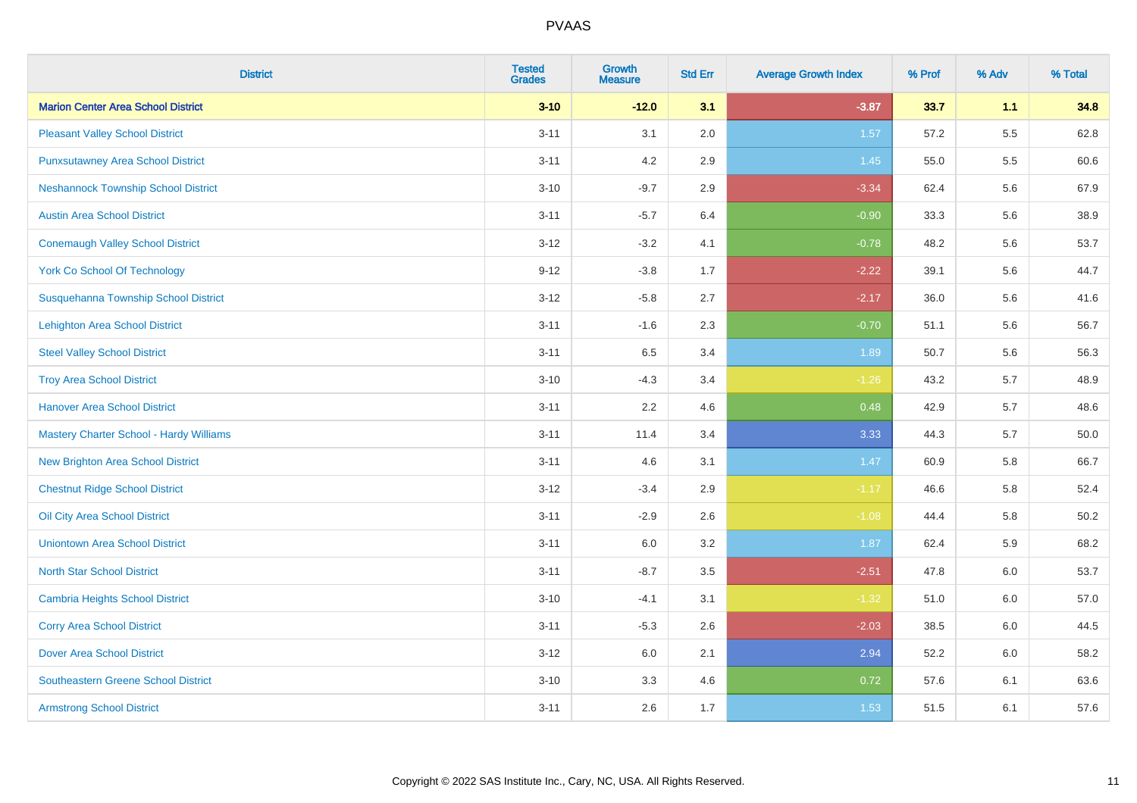| <b>District</b>                                | <b>Tested</b><br><b>Grades</b> | <b>Growth</b><br><b>Measure</b> | <b>Std Err</b> | <b>Average Growth Index</b> | % Prof | % Adv | % Total |
|------------------------------------------------|--------------------------------|---------------------------------|----------------|-----------------------------|--------|-------|---------|
| <b>Marion Center Area School District</b>      | $3 - 10$                       | $-12.0$                         | 3.1            | $-3.87$                     | 33.7   | 1.1   | 34.8    |
| <b>Pleasant Valley School District</b>         | $3 - 11$                       | 3.1                             | 2.0            | 1.57                        | 57.2   | 5.5   | 62.8    |
| <b>Punxsutawney Area School District</b>       | $3 - 11$                       | 4.2                             | 2.9            | 1.45                        | 55.0   | 5.5   | 60.6    |
| <b>Neshannock Township School District</b>     | $3 - 10$                       | $-9.7$                          | 2.9            | $-3.34$                     | 62.4   | 5.6   | 67.9    |
| <b>Austin Area School District</b>             | $3 - 11$                       | $-5.7$                          | 6.4            | $-0.90$                     | 33.3   | 5.6   | 38.9    |
| <b>Conemaugh Valley School District</b>        | $3 - 12$                       | $-3.2$                          | 4.1            | $-0.78$                     | 48.2   | 5.6   | 53.7    |
| <b>York Co School Of Technology</b>            | $9 - 12$                       | $-3.8$                          | 1.7            | $-2.22$                     | 39.1   | 5.6   | 44.7    |
| Susquehanna Township School District           | $3 - 12$                       | $-5.8$                          | 2.7            | $-2.17$                     | 36.0   | 5.6   | 41.6    |
| <b>Lehighton Area School District</b>          | $3 - 11$                       | $-1.6$                          | 2.3            | $-0.70$                     | 51.1   | 5.6   | 56.7    |
| <b>Steel Valley School District</b>            | $3 - 11$                       | 6.5                             | 3.4            | 1.89                        | 50.7   | 5.6   | 56.3    |
| <b>Troy Area School District</b>               | $3 - 10$                       | $-4.3$                          | 3.4            | $-1.26$                     | 43.2   | 5.7   | 48.9    |
| <b>Hanover Area School District</b>            | $3 - 11$                       | 2.2                             | 4.6            | 0.48                        | 42.9   | 5.7   | 48.6    |
| <b>Mastery Charter School - Hardy Williams</b> | $3 - 11$                       | 11.4                            | 3.4            | 3.33                        | 44.3   | 5.7   | 50.0    |
| New Brighton Area School District              | $3 - 11$                       | 4.6                             | 3.1            | 1.47                        | 60.9   | 5.8   | 66.7    |
| <b>Chestnut Ridge School District</b>          | $3 - 12$                       | $-3.4$                          | 2.9            | $-1.17$                     | 46.6   | 5.8   | 52.4    |
| Oil City Area School District                  | $3 - 11$                       | $-2.9$                          | 2.6            | $-1.08$                     | 44.4   | 5.8   | 50.2    |
| <b>Uniontown Area School District</b>          | $3 - 11$                       | $6.0\,$                         | 3.2            | 1.87                        | 62.4   | 5.9   | 68.2    |
| <b>North Star School District</b>              | $3 - 11$                       | $-8.7$                          | 3.5            | $-2.51$                     | 47.8   | 6.0   | 53.7    |
| <b>Cambria Heights School District</b>         | $3 - 10$                       | $-4.1$                          | 3.1            | $-1.32$                     | 51.0   | 6.0   | 57.0    |
| <b>Corry Area School District</b>              | $3 - 11$                       | $-5.3$                          | 2.6            | $-2.03$                     | 38.5   | 6.0   | 44.5    |
| <b>Dover Area School District</b>              | $3 - 12$                       | 6.0                             | 2.1            | 2.94                        | 52.2   | 6.0   | 58.2    |
| <b>Southeastern Greene School District</b>     | $3 - 10$                       | 3.3                             | 4.6            | 0.72                        | 57.6   | 6.1   | 63.6    |
| <b>Armstrong School District</b>               | $3 - 11$                       | 2.6                             | 1.7            | 1.53                        | 51.5   | 6.1   | 57.6    |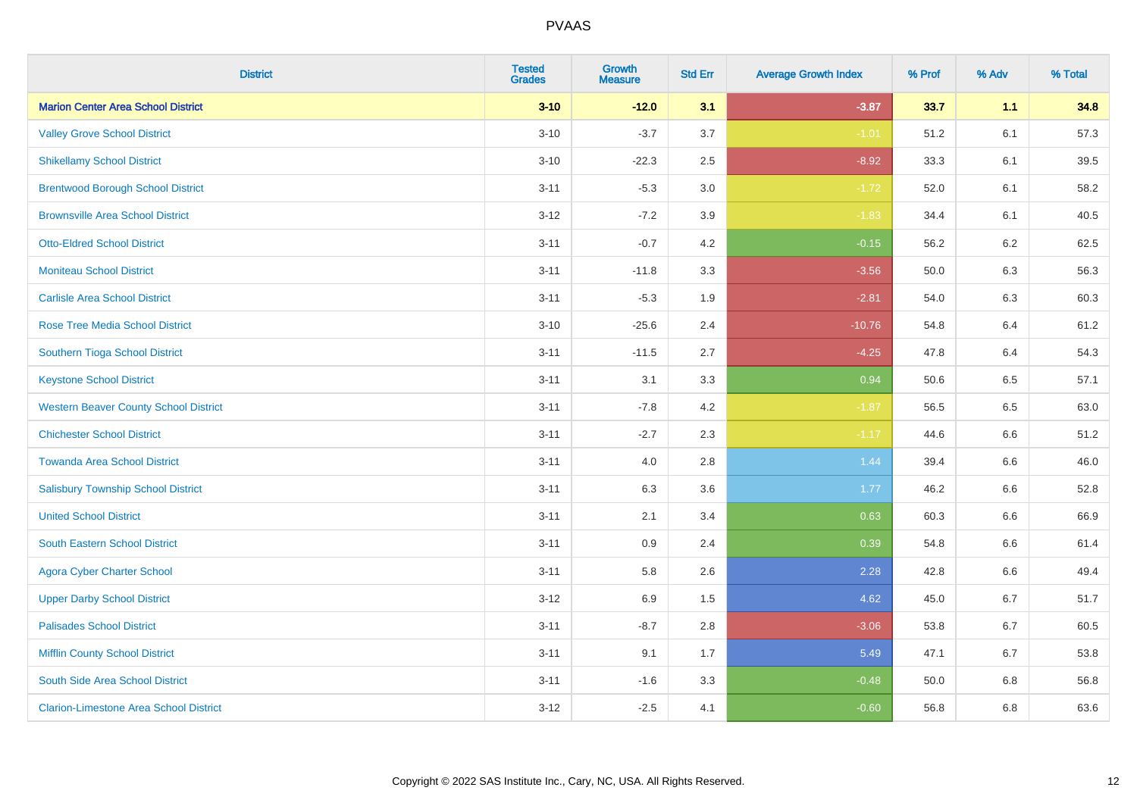| <b>District</b>                               | <b>Tested</b><br><b>Grades</b> | <b>Growth</b><br><b>Measure</b> | <b>Std Err</b> | <b>Average Growth Index</b> | % Prof | % Adv   | % Total |
|-----------------------------------------------|--------------------------------|---------------------------------|----------------|-----------------------------|--------|---------|---------|
| <b>Marion Center Area School District</b>     | $3 - 10$                       | $-12.0$                         | 3.1            | $-3.87$                     | 33.7   | 1.1     | 34.8    |
| <b>Valley Grove School District</b>           | $3 - 10$                       | $-3.7$                          | 3.7            | $-1.01$                     | 51.2   | 6.1     | 57.3    |
| <b>Shikellamy School District</b>             | $3 - 10$                       | $-22.3$                         | 2.5            | $-8.92$                     | 33.3   | 6.1     | 39.5    |
| <b>Brentwood Borough School District</b>      | $3 - 11$                       | $-5.3$                          | 3.0            | $-1.72$                     | 52.0   | 6.1     | 58.2    |
| <b>Brownsville Area School District</b>       | $3 - 12$                       | $-7.2$                          | 3.9            | $-1.83$                     | 34.4   | 6.1     | 40.5    |
| <b>Otto-Eldred School District</b>            | $3 - 11$                       | $-0.7$                          | 4.2            | $-0.15$                     | 56.2   | 6.2     | 62.5    |
| <b>Moniteau School District</b>               | $3 - 11$                       | $-11.8$                         | 3.3            | $-3.56$                     | 50.0   | 6.3     | 56.3    |
| <b>Carlisle Area School District</b>          | $3 - 11$                       | $-5.3$                          | 1.9            | $-2.81$                     | 54.0   | 6.3     | 60.3    |
| Rose Tree Media School District               | $3 - 10$                       | $-25.6$                         | 2.4            | $-10.76$                    | 54.8   | 6.4     | 61.2    |
| Southern Tioga School District                | $3 - 11$                       | $-11.5$                         | 2.7            | $-4.25$                     | 47.8   | 6.4     | 54.3    |
| <b>Keystone School District</b>               | $3 - 11$                       | 3.1                             | 3.3            | 0.94                        | 50.6   | 6.5     | 57.1    |
| <b>Western Beaver County School District</b>  | $3 - 11$                       | $-7.8$                          | 4.2            | $-1.87$                     | 56.5   | 6.5     | 63.0    |
| <b>Chichester School District</b>             | $3 - 11$                       | $-2.7$                          | 2.3            | $-1.17$                     | 44.6   | 6.6     | 51.2    |
| <b>Towanda Area School District</b>           | $3 - 11$                       | 4.0                             | 2.8            | 1.44                        | 39.4   | 6.6     | 46.0    |
| <b>Salisbury Township School District</b>     | $3 - 11$                       | 6.3                             | 3.6            | 1.77                        | 46.2   | 6.6     | 52.8    |
| <b>United School District</b>                 | $3 - 11$                       | 2.1                             | 3.4            | 0.63                        | 60.3   | $6.6\,$ | 66.9    |
| <b>South Eastern School District</b>          | $3 - 11$                       | 0.9                             | 2.4            | 0.39                        | 54.8   | 6.6     | 61.4    |
| <b>Agora Cyber Charter School</b>             | $3 - 11$                       | 5.8                             | 2.6            | 2.28                        | 42.8   | 6.6     | 49.4    |
| <b>Upper Darby School District</b>            | $3 - 12$                       | 6.9                             | 1.5            | 4.62                        | 45.0   | 6.7     | 51.7    |
| <b>Palisades School District</b>              | $3 - 11$                       | $-8.7$                          | 2.8            | $-3.06$                     | 53.8   | 6.7     | 60.5    |
| <b>Mifflin County School District</b>         | $3 - 11$                       | 9.1                             | 1.7            | 5.49                        | 47.1   | 6.7     | 53.8    |
| South Side Area School District               | $3 - 11$                       | $-1.6$                          | 3.3            | $-0.48$                     | 50.0   | 6.8     | 56.8    |
| <b>Clarion-Limestone Area School District</b> | $3 - 12$                       | $-2.5$                          | 4.1            | $-0.60$                     | 56.8   | 6.8     | 63.6    |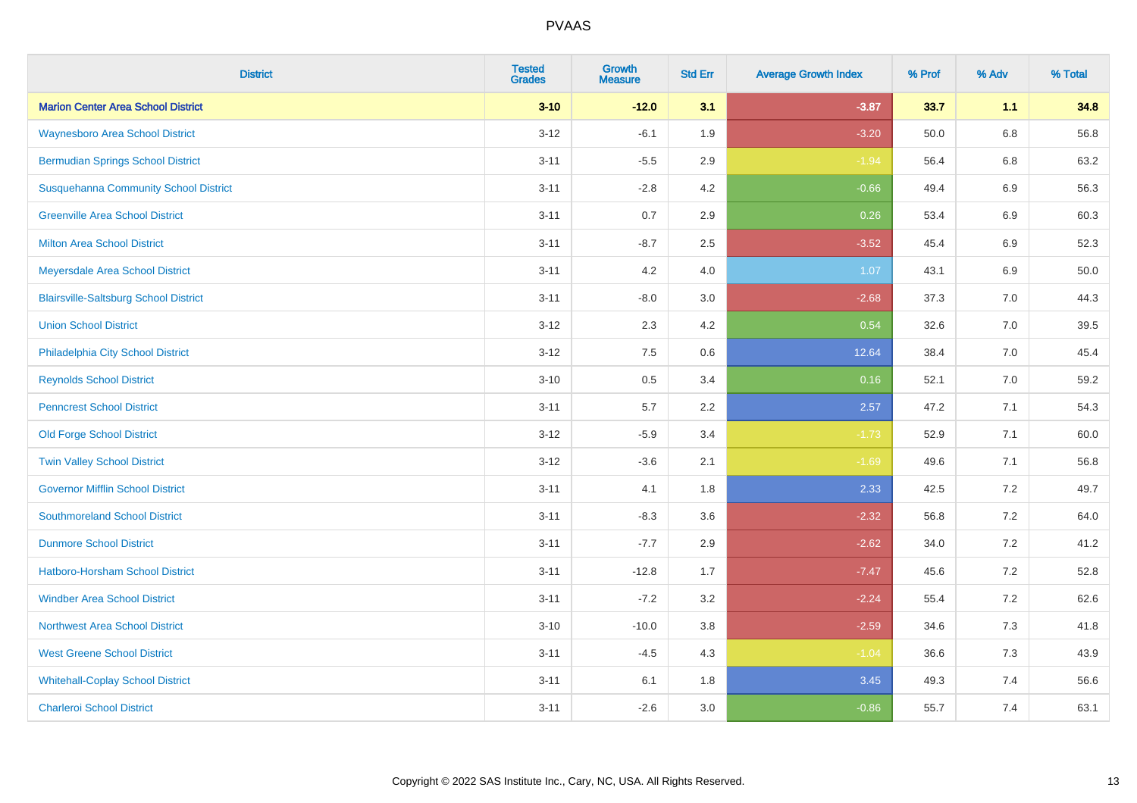| <b>District</b>                              | <b>Tested</b><br><b>Grades</b> | Growth<br><b>Measure</b> | <b>Std Err</b> | <b>Average Growth Index</b> | % Prof | % Adv   | % Total |
|----------------------------------------------|--------------------------------|--------------------------|----------------|-----------------------------|--------|---------|---------|
| <b>Marion Center Area School District</b>    | $3 - 10$                       | $-12.0$                  | 3.1            | $-3.87$                     | 33.7   | 1.1     | 34.8    |
| <b>Waynesboro Area School District</b>       | $3 - 12$                       | $-6.1$                   | 1.9            | $-3.20$                     | 50.0   | $6.8\,$ | 56.8    |
| <b>Bermudian Springs School District</b>     | $3 - 11$                       | $-5.5$                   | 2.9            | $-1.94$                     | 56.4   | 6.8     | 63.2    |
| <b>Susquehanna Community School District</b> | $3 - 11$                       | $-2.8$                   | 4.2            | $-0.66$                     | 49.4   | $6.9\,$ | 56.3    |
| <b>Greenville Area School District</b>       | $3 - 11$                       | 0.7                      | 2.9            | 0.26                        | 53.4   | 6.9     | 60.3    |
| <b>Milton Area School District</b>           | $3 - 11$                       | $-8.7$                   | 2.5            | $-3.52$                     | 45.4   | 6.9     | 52.3    |
| Meyersdale Area School District              | $3 - 11$                       | 4.2                      | 4.0            | 1.07                        | 43.1   | $6.9\,$ | 50.0    |
| <b>Blairsville-Saltsburg School District</b> | $3 - 11$                       | $-8.0$                   | 3.0            | $-2.68$                     | 37.3   | 7.0     | 44.3    |
| <b>Union School District</b>                 | $3 - 12$                       | 2.3                      | 4.2            | 0.54                        | 32.6   | 7.0     | 39.5    |
| Philadelphia City School District            | $3 - 12$                       | 7.5                      | 0.6            | 12.64                       | 38.4   | 7.0     | 45.4    |
| <b>Reynolds School District</b>              | $3 - 10$                       | 0.5                      | 3.4            | 0.16                        | 52.1   | 7.0     | 59.2    |
| <b>Penncrest School District</b>             | $3 - 11$                       | 5.7                      | 2.2            | 2.57                        | 47.2   | 7.1     | 54.3    |
| <b>Old Forge School District</b>             | $3 - 12$                       | $-5.9$                   | 3.4            | $-1.73$                     | 52.9   | 7.1     | 60.0    |
| <b>Twin Valley School District</b>           | $3 - 12$                       | $-3.6$                   | 2.1            | $-1.69$                     | 49.6   | 7.1     | 56.8    |
| <b>Governor Mifflin School District</b>      | $3 - 11$                       | 4.1                      | 1.8            | 2.33                        | 42.5   | 7.2     | 49.7    |
| <b>Southmoreland School District</b>         | $3 - 11$                       | $-8.3$                   | 3.6            | $-2.32$                     | 56.8   | 7.2     | 64.0    |
| <b>Dunmore School District</b>               | $3 - 11$                       | $-7.7$                   | 2.9            | $-2.62$                     | 34.0   | 7.2     | 41.2    |
| <b>Hatboro-Horsham School District</b>       | $3 - 11$                       | $-12.8$                  | 1.7            | $-7.47$                     | 45.6   | 7.2     | 52.8    |
| <b>Windber Area School District</b>          | $3 - 11$                       | $-7.2$                   | 3.2            | $-2.24$                     | 55.4   | 7.2     | 62.6    |
| Northwest Area School District               | $3 - 10$                       | $-10.0$                  | 3.8            | $-2.59$                     | 34.6   | 7.3     | 41.8    |
| <b>West Greene School District</b>           | $3 - 11$                       | $-4.5$                   | 4.3            | $-1.04$                     | 36.6   | 7.3     | 43.9    |
| <b>Whitehall-Coplay School District</b>      | $3 - 11$                       | 6.1                      | 1.8            | 3.45                        | 49.3   | 7.4     | 56.6    |
| <b>Charleroi School District</b>             | $3 - 11$                       | $-2.6$                   | 3.0            | $-0.86$                     | 55.7   | 7.4     | 63.1    |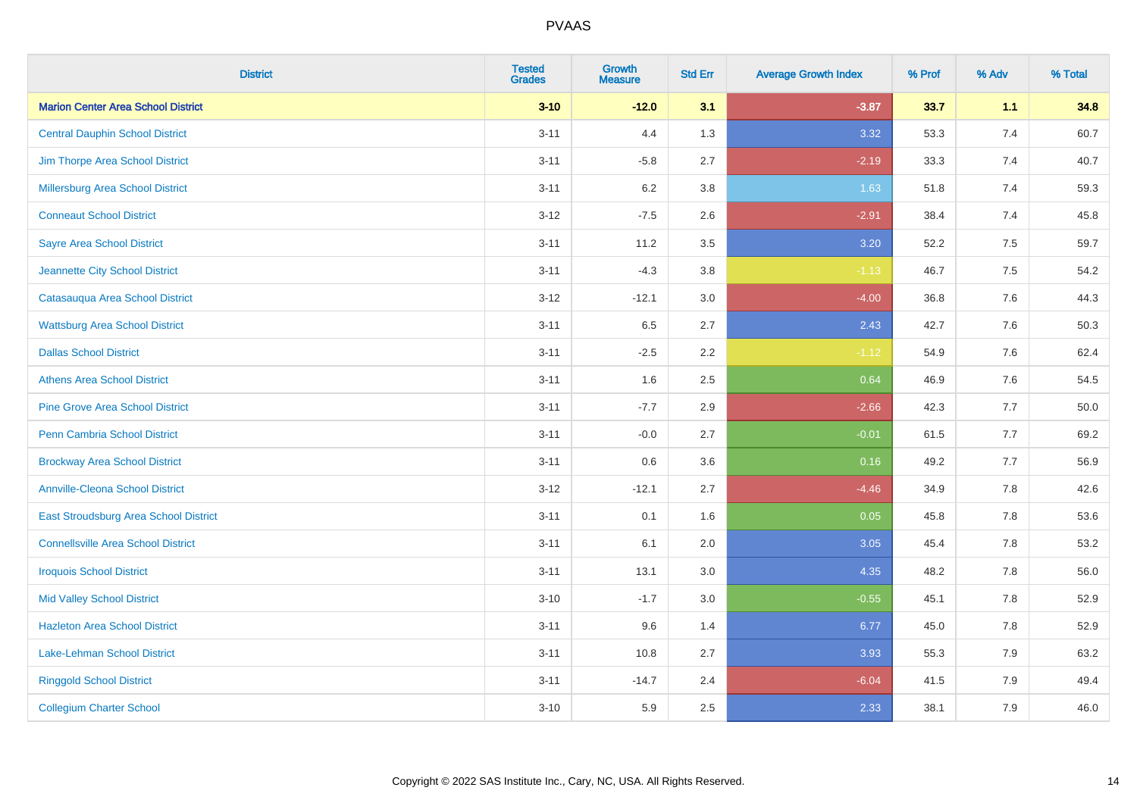| <b>District</b>                           | <b>Tested</b><br><b>Grades</b> | <b>Growth</b><br><b>Measure</b> | <b>Std Err</b> | <b>Average Growth Index</b> | % Prof | % Adv   | % Total |
|-------------------------------------------|--------------------------------|---------------------------------|----------------|-----------------------------|--------|---------|---------|
| <b>Marion Center Area School District</b> | $3 - 10$                       | $-12.0$                         | 3.1            | $-3.87$                     | 33.7   | 1.1     | 34.8    |
| <b>Central Dauphin School District</b>    | $3 - 11$                       | 4.4                             | 1.3            | 3.32                        | 53.3   | 7.4     | 60.7    |
| Jim Thorpe Area School District           | $3 - 11$                       | $-5.8$                          | 2.7            | $-2.19$                     | 33.3   | 7.4     | 40.7    |
| <b>Millersburg Area School District</b>   | $3 - 11$                       | $6.2\,$                         | 3.8            | 1.63                        | 51.8   | 7.4     | 59.3    |
| <b>Conneaut School District</b>           | $3 - 12$                       | $-7.5$                          | 2.6            | $-2.91$                     | 38.4   | 7.4     | 45.8    |
| <b>Sayre Area School District</b>         | $3 - 11$                       | 11.2                            | 3.5            | 3.20                        | 52.2   | 7.5     | 59.7    |
| Jeannette City School District            | $3 - 11$                       | $-4.3$                          | 3.8            | $-1.13$                     | 46.7   | 7.5     | 54.2    |
| Catasauqua Area School District           | $3 - 12$                       | $-12.1$                         | 3.0            | $-4.00$                     | 36.8   | 7.6     | 44.3    |
| <b>Wattsburg Area School District</b>     | $3 - 11$                       | 6.5                             | 2.7            | 2.43                        | 42.7   | 7.6     | 50.3    |
| <b>Dallas School District</b>             | $3 - 11$                       | $-2.5$                          | 2.2            | $-1.12$                     | 54.9   | 7.6     | 62.4    |
| <b>Athens Area School District</b>        | $3 - 11$                       | 1.6                             | 2.5            | 0.64                        | 46.9   | 7.6     | 54.5    |
| <b>Pine Grove Area School District</b>    | $3 - 11$                       | $-7.7$                          | 2.9            | $-2.66$                     | 42.3   | 7.7     | 50.0    |
| Penn Cambria School District              | $3 - 11$                       | $-0.0$                          | 2.7            | $-0.01$                     | 61.5   | 7.7     | 69.2    |
| <b>Brockway Area School District</b>      | $3 - 11$                       | 0.6                             | 3.6            | 0.16                        | 49.2   | 7.7     | 56.9    |
| <b>Annville-Cleona School District</b>    | $3 - 12$                       | $-12.1$                         | 2.7            | $-4.46$                     | 34.9   | 7.8     | 42.6    |
| East Stroudsburg Area School District     | $3 - 11$                       | 0.1                             | 1.6            | 0.05                        | 45.8   | $7.8\,$ | 53.6    |
| <b>Connellsville Area School District</b> | $3 - 11$                       | 6.1                             | 2.0            | 3.05                        | 45.4   | 7.8     | 53.2    |
| <b>Iroquois School District</b>           | $3 - 11$                       | 13.1                            | 3.0            | 4.35                        | 48.2   | 7.8     | 56.0    |
| <b>Mid Valley School District</b>         | $3 - 10$                       | $-1.7$                          | 3.0            | $-0.55$                     | 45.1   | 7.8     | 52.9    |
| <b>Hazleton Area School District</b>      | $3 - 11$                       | 9.6                             | 1.4            | 6.77                        | 45.0   | 7.8     | 52.9    |
| Lake-Lehman School District               | $3 - 11$                       | 10.8                            | 2.7            | 3.93                        | 55.3   | 7.9     | 63.2    |
| <b>Ringgold School District</b>           | $3 - 11$                       | $-14.7$                         | 2.4            | $-6.04$                     | 41.5   | 7.9     | 49.4    |
| <b>Collegium Charter School</b>           | $3 - 10$                       | 5.9                             | 2.5            | 2.33                        | 38.1   | 7.9     | 46.0    |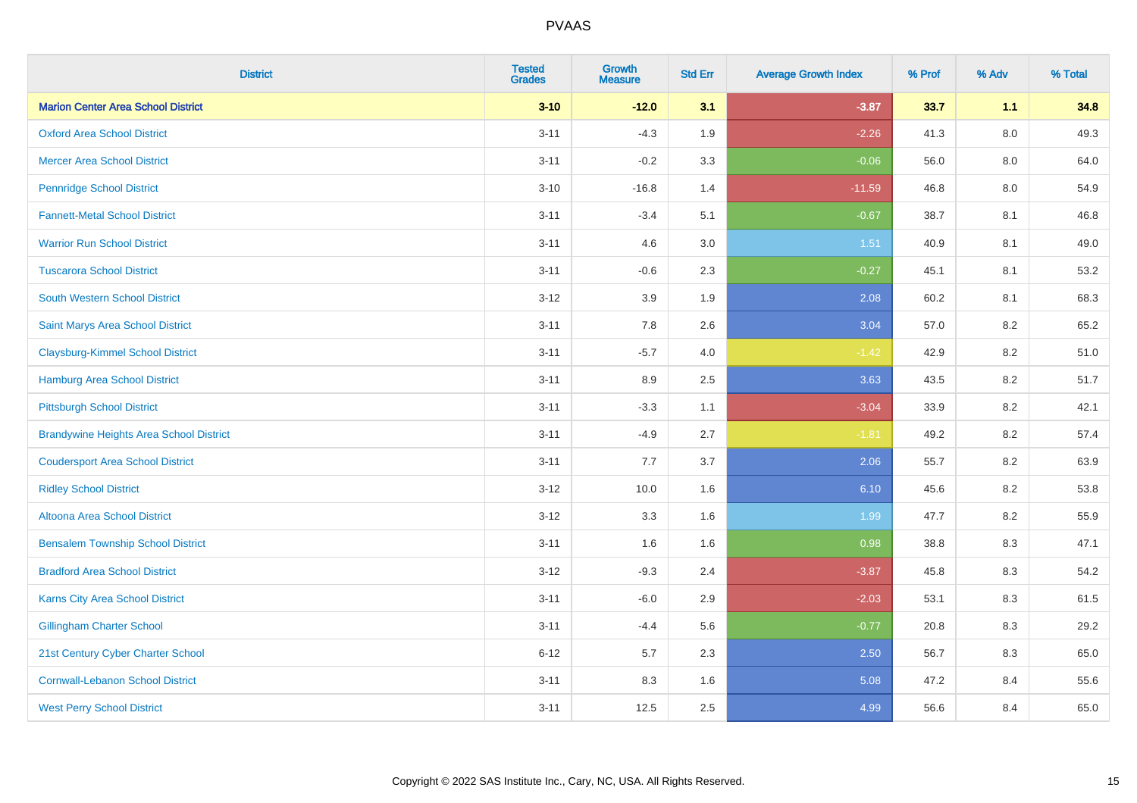| <b>District</b>                                | <b>Tested</b><br><b>Grades</b> | <b>Growth</b><br><b>Measure</b> | <b>Std Err</b> | <b>Average Growth Index</b> | % Prof | % Adv   | % Total |
|------------------------------------------------|--------------------------------|---------------------------------|----------------|-----------------------------|--------|---------|---------|
| <b>Marion Center Area School District</b>      | $3 - 10$                       | $-12.0$                         | 3.1            | $-3.87$                     | 33.7   | 1.1     | 34.8    |
| <b>Oxford Area School District</b>             | $3 - 11$                       | $-4.3$                          | 1.9            | $-2.26$                     | 41.3   | $8.0\,$ | 49.3    |
| <b>Mercer Area School District</b>             | $3 - 11$                       | $-0.2$                          | 3.3            | $-0.06$                     | 56.0   | 8.0     | 64.0    |
| <b>Pennridge School District</b>               | $3 - 10$                       | $-16.8$                         | 1.4            | $-11.59$                    | 46.8   | $8.0\,$ | 54.9    |
| <b>Fannett-Metal School District</b>           | $3 - 11$                       | $-3.4$                          | 5.1            | $-0.67$                     | 38.7   | 8.1     | 46.8    |
| <b>Warrior Run School District</b>             | $3 - 11$                       | 4.6                             | 3.0            | 1.51                        | 40.9   | 8.1     | 49.0    |
| <b>Tuscarora School District</b>               | $3 - 11$                       | $-0.6$                          | 2.3            | $-0.27$                     | 45.1   | 8.1     | 53.2    |
| <b>South Western School District</b>           | $3 - 12$                       | 3.9                             | 1.9            | 2.08                        | 60.2   | 8.1     | 68.3    |
| Saint Marys Area School District               | $3 - 11$                       | 7.8                             | 2.6            | 3.04                        | 57.0   | 8.2     | 65.2    |
| <b>Claysburg-Kimmel School District</b>        | $3 - 11$                       | $-5.7$                          | 4.0            | $-1.42$                     | 42.9   | $8.2\,$ | 51.0    |
| <b>Hamburg Area School District</b>            | $3 - 11$                       | 8.9                             | 2.5            | 3.63                        | 43.5   | 8.2     | 51.7    |
| <b>Pittsburgh School District</b>              | $3 - 11$                       | $-3.3$                          | 1.1            | $-3.04$                     | 33.9   | 8.2     | 42.1    |
| <b>Brandywine Heights Area School District</b> | $3 - 11$                       | $-4.9$                          | 2.7            | $-1.81$                     | 49.2   | 8.2     | 57.4    |
| <b>Coudersport Area School District</b>        | $3 - 11$                       | $7.7\,$                         | 3.7            | 2.06                        | 55.7   | 8.2     | 63.9    |
| <b>Ridley School District</b>                  | $3 - 12$                       | 10.0                            | 1.6            | 6.10                        | 45.6   | 8.2     | 53.8    |
| <b>Altoona Area School District</b>            | $3 - 12$                       | 3.3                             | 1.6            | 1.99                        | 47.7   | 8.2     | 55.9    |
| <b>Bensalem Township School District</b>       | $3 - 11$                       | 1.6                             | 1.6            | 0.98                        | 38.8   | 8.3     | 47.1    |
| <b>Bradford Area School District</b>           | $3 - 12$                       | $-9.3$                          | 2.4            | $-3.87$                     | 45.8   | 8.3     | 54.2    |
| Karns City Area School District                | $3 - 11$                       | $-6.0$                          | 2.9            | $-2.03$                     | 53.1   | 8.3     | 61.5    |
| <b>Gillingham Charter School</b>               | $3 - 11$                       | $-4.4$                          | 5.6            | $-0.77$                     | 20.8   | 8.3     | 29.2    |
| 21st Century Cyber Charter School              | $6 - 12$                       | 5.7                             | 2.3            | 2.50                        | 56.7   | 8.3     | 65.0    |
| <b>Cornwall-Lebanon School District</b>        | $3 - 11$                       | 8.3                             | 1.6            | 5.08                        | 47.2   | 8.4     | 55.6    |
| <b>West Perry School District</b>              | $3 - 11$                       | 12.5                            | 2.5            | 4.99                        | 56.6   | 8.4     | 65.0    |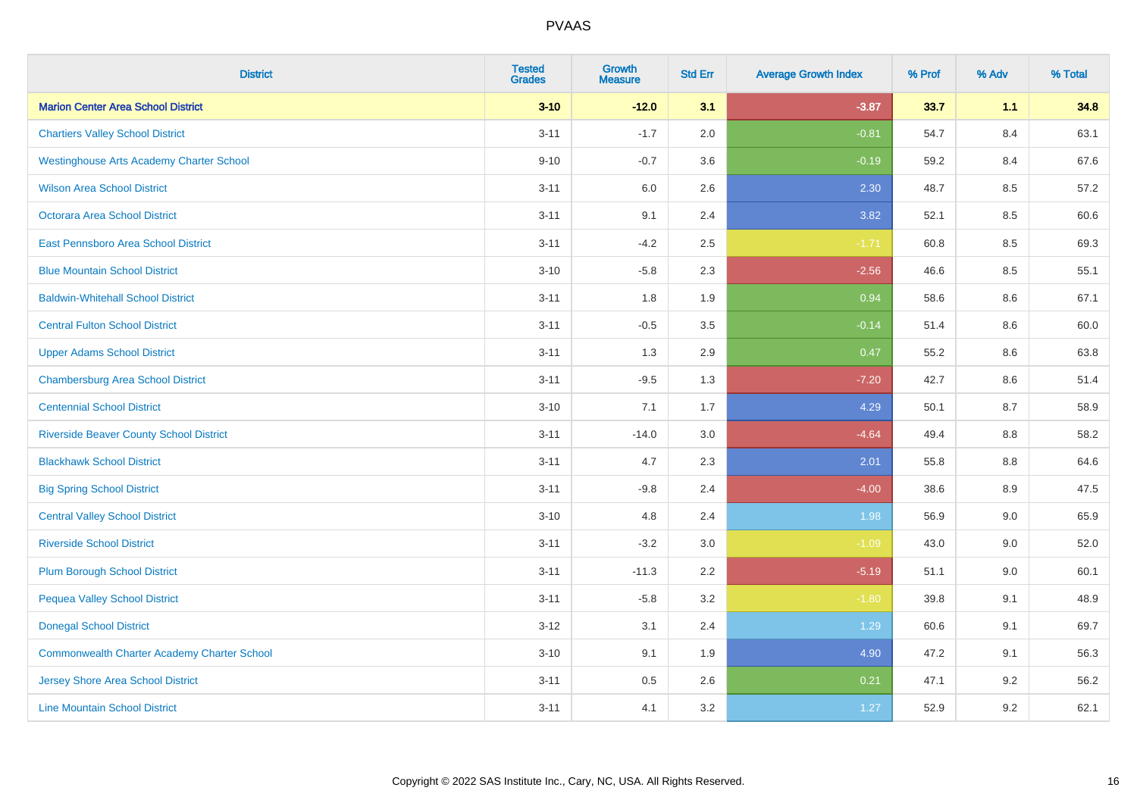| <b>District</b>                                    | <b>Tested</b><br><b>Grades</b> | <b>Growth</b><br><b>Measure</b> | <b>Std Err</b> | <b>Average Growth Index</b> | % Prof | % Adv   | % Total |
|----------------------------------------------------|--------------------------------|---------------------------------|----------------|-----------------------------|--------|---------|---------|
| <b>Marion Center Area School District</b>          | $3 - 10$                       | $-12.0$                         | 3.1            | $-3.87$                     | 33.7   | 1.1     | 34.8    |
| <b>Chartiers Valley School District</b>            | $3 - 11$                       | $-1.7$                          | 2.0            | $-0.81$                     | 54.7   | 8.4     | 63.1    |
| <b>Westinghouse Arts Academy Charter School</b>    | $9 - 10$                       | $-0.7$                          | 3.6            | $-0.19$                     | 59.2   | 8.4     | 67.6    |
| <b>Wilson Area School District</b>                 | $3 - 11$                       | 6.0                             | 2.6            | 2.30                        | 48.7   | 8.5     | 57.2    |
| Octorara Area School District                      | $3 - 11$                       | 9.1                             | 2.4            | 3.82                        | 52.1   | 8.5     | 60.6    |
| East Pennsboro Area School District                | $3 - 11$                       | $-4.2$                          | 2.5            | $-1.71$                     | 60.8   | 8.5     | 69.3    |
| <b>Blue Mountain School District</b>               | $3 - 10$                       | $-5.8$                          | 2.3            | $-2.56$                     | 46.6   | 8.5     | 55.1    |
| <b>Baldwin-Whitehall School District</b>           | $3 - 11$                       | 1.8                             | 1.9            | 0.94                        | 58.6   | 8.6     | 67.1    |
| <b>Central Fulton School District</b>              | $3 - 11$                       | $-0.5$                          | 3.5            | $-0.14$                     | 51.4   | 8.6     | 60.0    |
| <b>Upper Adams School District</b>                 | $3 - 11$                       | 1.3                             | 2.9            | 0.47                        | 55.2   | 8.6     | 63.8    |
| <b>Chambersburg Area School District</b>           | $3 - 11$                       | $-9.5$                          | 1.3            | $-7.20$                     | 42.7   | 8.6     | 51.4    |
| <b>Centennial School District</b>                  | $3 - 10$                       | 7.1                             | 1.7            | 4.29                        | 50.1   | 8.7     | 58.9    |
| <b>Riverside Beaver County School District</b>     | $3 - 11$                       | $-14.0$                         | 3.0            | $-4.64$                     | 49.4   | $8.8\,$ | 58.2    |
| <b>Blackhawk School District</b>                   | $3 - 11$                       | 4.7                             | 2.3            | 2.01                        | 55.8   | 8.8     | 64.6    |
| <b>Big Spring School District</b>                  | $3 - 11$                       | $-9.8$                          | 2.4            | $-4.00$                     | 38.6   | 8.9     | 47.5    |
| <b>Central Valley School District</b>              | $3 - 10$                       | 4.8                             | 2.4            | 1.98                        | 56.9   | 9.0     | 65.9    |
| <b>Riverside School District</b>                   | $3 - 11$                       | $-3.2$                          | 3.0            | $-1.09$                     | 43.0   | 9.0     | 52.0    |
| <b>Plum Borough School District</b>                | $3 - 11$                       | $-11.3$                         | 2.2            | $-5.19$                     | 51.1   | 9.0     | 60.1    |
| <b>Pequea Valley School District</b>               | $3 - 11$                       | $-5.8$                          | 3.2            | $-1.80$                     | 39.8   | 9.1     | 48.9    |
| <b>Donegal School District</b>                     | $3 - 12$                       | 3.1                             | 2.4            | 1.29                        | 60.6   | 9.1     | 69.7    |
| <b>Commonwealth Charter Academy Charter School</b> | $3 - 10$                       | 9.1                             | 1.9            | 4.90                        | 47.2   | 9.1     | 56.3    |
| Jersey Shore Area School District                  | $3 - 11$                       | 0.5                             | 2.6            | 0.21                        | 47.1   | 9.2     | 56.2    |
| <b>Line Mountain School District</b>               | $3 - 11$                       | 4.1                             | 3.2            | 1.27                        | 52.9   | 9.2     | 62.1    |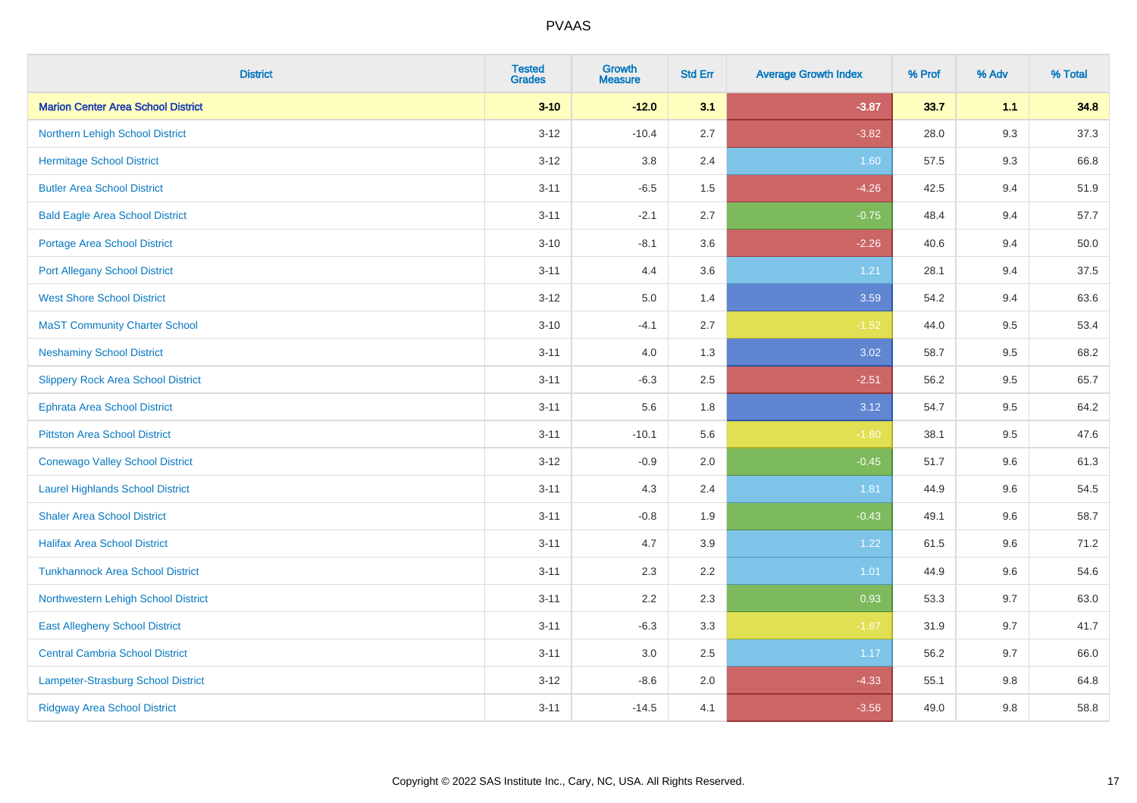| <b>District</b>                           | <b>Tested</b><br><b>Grades</b> | <b>Growth</b><br><b>Measure</b> | <b>Std Err</b> | <b>Average Growth Index</b> | % Prof | % Adv | % Total |
|-------------------------------------------|--------------------------------|---------------------------------|----------------|-----------------------------|--------|-------|---------|
| <b>Marion Center Area School District</b> | $3 - 10$                       | $-12.0$                         | 3.1            | $-3.87$                     | 33.7   | 1.1   | 34.8    |
| Northern Lehigh School District           | $3 - 12$                       | $-10.4$                         | 2.7            | $-3.82$                     | 28.0   | 9.3   | 37.3    |
| <b>Hermitage School District</b>          | $3 - 12$                       | 3.8                             | 2.4            | 1.60                        | 57.5   | 9.3   | 66.8    |
| <b>Butler Area School District</b>        | $3 - 11$                       | $-6.5$                          | 1.5            | $-4.26$                     | 42.5   | 9.4   | 51.9    |
| <b>Bald Eagle Area School District</b>    | $3 - 11$                       | $-2.1$                          | 2.7            | $-0.75$                     | 48.4   | 9.4   | 57.7    |
| Portage Area School District              | $3 - 10$                       | $-8.1$                          | 3.6            | $-2.26$                     | 40.6   | 9.4   | 50.0    |
| <b>Port Allegany School District</b>      | $3 - 11$                       | 4.4                             | 3.6            | 1.21                        | 28.1   | 9.4   | 37.5    |
| <b>West Shore School District</b>         | $3 - 12$                       | 5.0                             | 1.4            | 3.59                        | 54.2   | 9.4   | 63.6    |
| <b>MaST Community Charter School</b>      | $3 - 10$                       | $-4.1$                          | 2.7            | $-1.52$                     | 44.0   | 9.5   | 53.4    |
| <b>Neshaminy School District</b>          | $3 - 11$                       | 4.0                             | 1.3            | 3.02                        | 58.7   | 9.5   | 68.2    |
| <b>Slippery Rock Area School District</b> | $3 - 11$                       | $-6.3$                          | 2.5            | $-2.51$                     | 56.2   | 9.5   | 65.7    |
| <b>Ephrata Area School District</b>       | $3 - 11$                       | 5.6                             | 1.8            | 3.12                        | 54.7   | 9.5   | 64.2    |
| <b>Pittston Area School District</b>      | $3 - 11$                       | $-10.1$                         | 5.6            | $-1.80$                     | 38.1   | 9.5   | 47.6    |
| <b>Conewago Valley School District</b>    | $3 - 12$                       | $-0.9$                          | 2.0            | $-0.45$                     | 51.7   | 9.6   | 61.3    |
| <b>Laurel Highlands School District</b>   | $3 - 11$                       | 4.3                             | 2.4            | 1.81                        | 44.9   | 9.6   | 54.5    |
| <b>Shaler Area School District</b>        | $3 - 11$                       | $-0.8$                          | 1.9            | $-0.43$                     | 49.1   | 9.6   | 58.7    |
| <b>Halifax Area School District</b>       | $3 - 11$                       | 4.7                             | 3.9            | 1.22                        | 61.5   | 9.6   | 71.2    |
| <b>Tunkhannock Area School District</b>   | $3 - 11$                       | 2.3                             | 2.2            | 1.01                        | 44.9   | 9.6   | 54.6    |
| Northwestern Lehigh School District       | $3 - 11$                       | 2.2                             | 2.3            | 0.93                        | 53.3   | 9.7   | 63.0    |
| <b>East Allegheny School District</b>     | $3 - 11$                       | $-6.3$                          | 3.3            | $-1.87$                     | 31.9   | 9.7   | 41.7    |
| <b>Central Cambria School District</b>    | $3 - 11$                       | 3.0                             | $2.5\,$        | 1.17                        | 56.2   | 9.7   | 66.0    |
| Lampeter-Strasburg School District        | $3 - 12$                       | $-8.6$                          | 2.0            | $-4.33$                     | 55.1   | 9.8   | 64.8    |
| <b>Ridgway Area School District</b>       | $3 - 11$                       | $-14.5$                         | 4.1            | $-3.56$                     | 49.0   | 9.8   | 58.8    |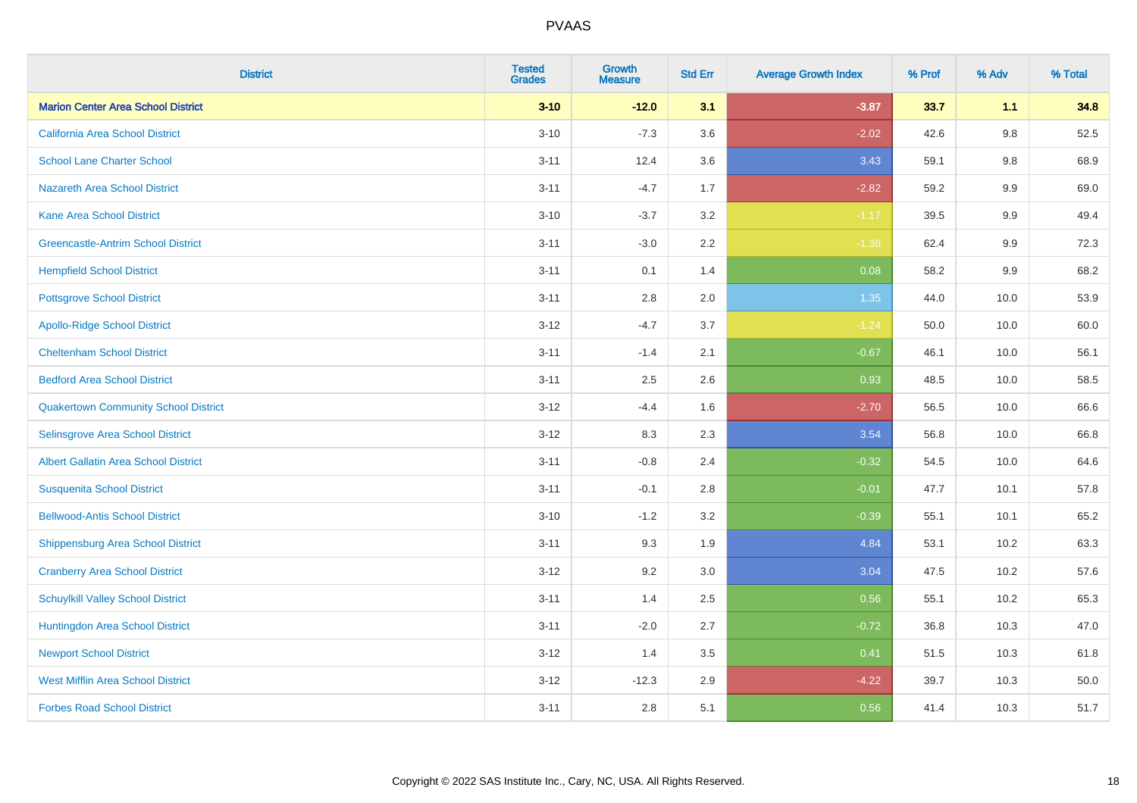| <b>District</b>                             | <b>Tested</b><br><b>Grades</b> | <b>Growth</b><br><b>Measure</b> | <b>Std Err</b> | <b>Average Growth Index</b> | % Prof | % Adv   | % Total |
|---------------------------------------------|--------------------------------|---------------------------------|----------------|-----------------------------|--------|---------|---------|
| <b>Marion Center Area School District</b>   | $3 - 10$                       | $-12.0$                         | 3.1            | $-3.87$                     | 33.7   | 1.1     | 34.8    |
| <b>California Area School District</b>      | $3 - 10$                       | $-7.3$                          | 3.6            | $-2.02$                     | 42.6   | $9.8\,$ | 52.5    |
| <b>School Lane Charter School</b>           | $3 - 11$                       | 12.4                            | 3.6            | 3.43                        | 59.1   | 9.8     | 68.9    |
| <b>Nazareth Area School District</b>        | $3 - 11$                       | $-4.7$                          | 1.7            | $-2.82$                     | 59.2   | $9.9\,$ | 69.0    |
| <b>Kane Area School District</b>            | $3 - 10$                       | $-3.7$                          | 3.2            | $-1.17$                     | 39.5   | 9.9     | 49.4    |
| <b>Greencastle-Antrim School District</b>   | $3 - 11$                       | $-3.0$                          | 2.2            | $-1.36$                     | 62.4   | 9.9     | 72.3    |
| <b>Hempfield School District</b>            | $3 - 11$                       | 0.1                             | 1.4            | 0.08                        | 58.2   | 9.9     | 68.2    |
| <b>Pottsgrove School District</b>           | $3 - 11$                       | 2.8                             | 2.0            | 1.35                        | 44.0   | 10.0    | 53.9    |
| <b>Apollo-Ridge School District</b>         | $3 - 12$                       | $-4.7$                          | 3.7            | $-1.24$                     | 50.0   | 10.0    | 60.0    |
| <b>Cheltenham School District</b>           | $3 - 11$                       | $-1.4$                          | 2.1            | $-0.67$                     | 46.1   | 10.0    | 56.1    |
| <b>Bedford Area School District</b>         | $3 - 11$                       | 2.5                             | 2.6            | 0.93                        | 48.5   | 10.0    | 58.5    |
| <b>Quakertown Community School District</b> | $3 - 12$                       | $-4.4$                          | 1.6            | $-2.70$                     | 56.5   | 10.0    | 66.6    |
| Selinsgrove Area School District            | $3 - 12$                       | 8.3                             | 2.3            | 3.54                        | 56.8   | 10.0    | 66.8    |
| <b>Albert Gallatin Area School District</b> | $3 - 11$                       | $-0.8$                          | 2.4            | $-0.32$                     | 54.5   | 10.0    | 64.6    |
| <b>Susquenita School District</b>           | $3 - 11$                       | $-0.1$                          | 2.8            | $-0.01$                     | 47.7   | 10.1    | 57.8    |
| <b>Bellwood-Antis School District</b>       | $3 - 10$                       | $-1.2$                          | 3.2            | $-0.39$                     | 55.1   | 10.1    | 65.2    |
| <b>Shippensburg Area School District</b>    | $3 - 11$                       | 9.3                             | 1.9            | 4.84                        | 53.1   | 10.2    | 63.3    |
| <b>Cranberry Area School District</b>       | $3 - 12$                       | 9.2                             | 3.0            | 3.04                        | 47.5   | 10.2    | 57.6    |
| <b>Schuylkill Valley School District</b>    | $3 - 11$                       | 1.4                             | 2.5            | 0.56                        | 55.1   | 10.2    | 65.3    |
| Huntingdon Area School District             | $3 - 11$                       | $-2.0$                          | 2.7            | $-0.72$                     | 36.8   | 10.3    | 47.0    |
| <b>Newport School District</b>              | $3 - 12$                       | 1.4                             | 3.5            | 0.41                        | 51.5   | 10.3    | 61.8    |
| <b>West Mifflin Area School District</b>    | $3 - 12$                       | $-12.3$                         | 2.9            | $-4.22$                     | 39.7   | 10.3    | 50.0    |
| <b>Forbes Road School District</b>          | $3 - 11$                       | 2.8                             | 5.1            | 0.56                        | 41.4   | 10.3    | 51.7    |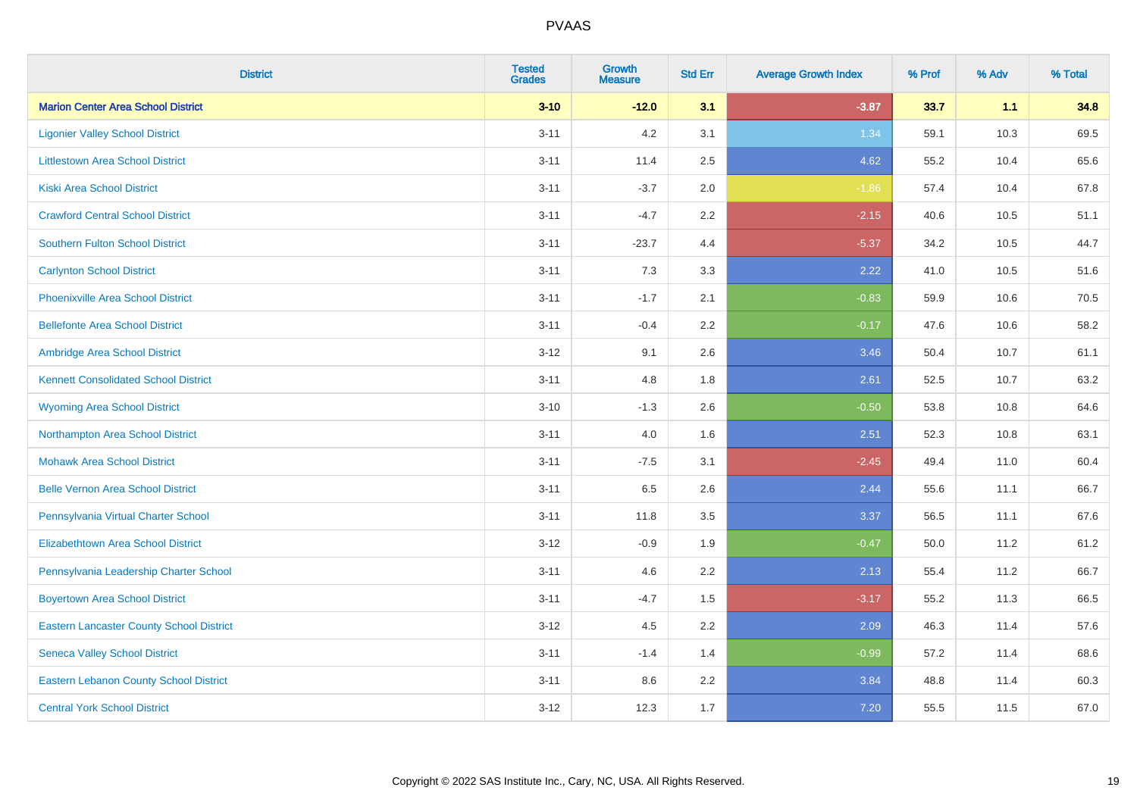| <b>District</b>                                 | <b>Tested</b><br><b>Grades</b> | <b>Growth</b><br><b>Measure</b> | <b>Std Err</b> | <b>Average Growth Index</b> | % Prof | % Adv | % Total |
|-------------------------------------------------|--------------------------------|---------------------------------|----------------|-----------------------------|--------|-------|---------|
| <b>Marion Center Area School District</b>       | $3 - 10$                       | $-12.0$                         | 3.1            | $-3.87$                     | 33.7   | 1.1   | 34.8    |
| <b>Ligonier Valley School District</b>          | $3 - 11$                       | 4.2                             | 3.1            | 1.34                        | 59.1   | 10.3  | 69.5    |
| <b>Littlestown Area School District</b>         | $3 - 11$                       | 11.4                            | 2.5            | 4.62                        | 55.2   | 10.4  | 65.6    |
| <b>Kiski Area School District</b>               | $3 - 11$                       | $-3.7$                          | 2.0            | $-1.86$                     | 57.4   | 10.4  | 67.8    |
| <b>Crawford Central School District</b>         | $3 - 11$                       | $-4.7$                          | 2.2            | $-2.15$                     | 40.6   | 10.5  | 51.1    |
| <b>Southern Fulton School District</b>          | $3 - 11$                       | $-23.7$                         | 4.4            | $-5.37$                     | 34.2   | 10.5  | 44.7    |
| <b>Carlynton School District</b>                | $3 - 11$                       | 7.3                             | 3.3            | 2.22                        | 41.0   | 10.5  | 51.6    |
| <b>Phoenixville Area School District</b>        | $3 - 11$                       | $-1.7$                          | 2.1            | $-0.83$                     | 59.9   | 10.6  | 70.5    |
| <b>Bellefonte Area School District</b>          | $3 - 11$                       | $-0.4$                          | 2.2            | $-0.17$                     | 47.6   | 10.6  | 58.2    |
| Ambridge Area School District                   | $3 - 12$                       | 9.1                             | 2.6            | 3.46                        | 50.4   | 10.7  | 61.1    |
| <b>Kennett Consolidated School District</b>     | $3 - 11$                       | 4.8                             | 1.8            | 2.61                        | 52.5   | 10.7  | 63.2    |
| <b>Wyoming Area School District</b>             | $3 - 10$                       | $-1.3$                          | 2.6            | $-0.50$                     | 53.8   | 10.8  | 64.6    |
| Northampton Area School District                | $3 - 11$                       | 4.0                             | 1.6            | 2.51                        | 52.3   | 10.8  | 63.1    |
| <b>Mohawk Area School District</b>              | $3 - 11$                       | $-7.5$                          | 3.1            | $-2.45$                     | 49.4   | 11.0  | 60.4    |
| <b>Belle Vernon Area School District</b>        | $3 - 11$                       | 6.5                             | 2.6            | 2.44                        | 55.6   | 11.1  | 66.7    |
| Pennsylvania Virtual Charter School             | $3 - 11$                       | 11.8                            | 3.5            | 3.37                        | 56.5   | 11.1  | 67.6    |
| <b>Elizabethtown Area School District</b>       | $3 - 12$                       | $-0.9$                          | 1.9            | $-0.47$                     | 50.0   | 11.2  | 61.2    |
| Pennsylvania Leadership Charter School          | $3 - 11$                       | 4.6                             | 2.2            | 2.13                        | 55.4   | 11.2  | 66.7    |
| <b>Boyertown Area School District</b>           | $3 - 11$                       | $-4.7$                          | 1.5            | $-3.17$                     | 55.2   | 11.3  | 66.5    |
| <b>Eastern Lancaster County School District</b> | $3 - 12$                       | 4.5                             | 2.2            | 2.09                        | 46.3   | 11.4  | 57.6    |
| <b>Seneca Valley School District</b>            | $3 - 11$                       | $-1.4$                          | 1.4            | $-0.99$                     | 57.2   | 11.4  | 68.6    |
| <b>Eastern Lebanon County School District</b>   | $3 - 11$                       | 8.6                             | 2.2            | 3.84                        | 48.8   | 11.4  | 60.3    |
| <b>Central York School District</b>             | $3 - 12$                       | 12.3                            | 1.7            | 7.20                        | 55.5   | 11.5  | 67.0    |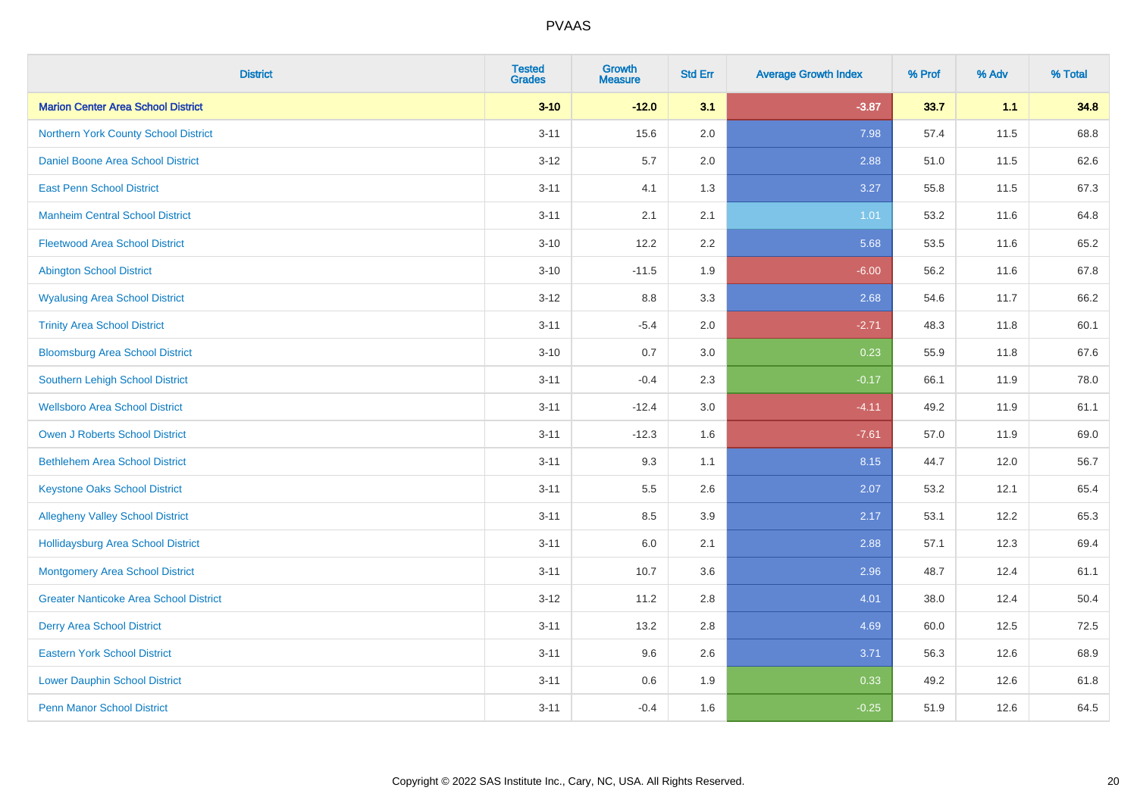| <b>District</b>                               | <b>Tested</b><br><b>Grades</b> | <b>Growth</b><br><b>Measure</b> | <b>Std Err</b> | <b>Average Growth Index</b> | % Prof | % Adv | % Total |
|-----------------------------------------------|--------------------------------|---------------------------------|----------------|-----------------------------|--------|-------|---------|
| <b>Marion Center Area School District</b>     | $3 - 10$                       | $-12.0$                         | 3.1            | $-3.87$                     | 33.7   | 1.1   | 34.8    |
| Northern York County School District          | $3 - 11$                       | 15.6                            | 2.0            | 7.98                        | 57.4   | 11.5  | 68.8    |
| Daniel Boone Area School District             | $3 - 12$                       | 5.7                             | 2.0            | 2.88                        | 51.0   | 11.5  | 62.6    |
| <b>East Penn School District</b>              | $3 - 11$                       | 4.1                             | 1.3            | 3.27                        | 55.8   | 11.5  | 67.3    |
| <b>Manheim Central School District</b>        | $3 - 11$                       | 2.1                             | 2.1            | 1.01                        | 53.2   | 11.6  | 64.8    |
| <b>Fleetwood Area School District</b>         | $3 - 10$                       | 12.2                            | 2.2            | 5.68                        | 53.5   | 11.6  | 65.2    |
| <b>Abington School District</b>               | $3 - 10$                       | $-11.5$                         | 1.9            | $-6.00$                     | 56.2   | 11.6  | 67.8    |
| <b>Wyalusing Area School District</b>         | $3 - 12$                       | $8.8\,$                         | 3.3            | 2.68                        | 54.6   | 11.7  | 66.2    |
| <b>Trinity Area School District</b>           | $3 - 11$                       | $-5.4$                          | 2.0            | $-2.71$                     | 48.3   | 11.8  | 60.1    |
| <b>Bloomsburg Area School District</b>        | $3 - 10$                       | 0.7                             | 3.0            | 0.23                        | 55.9   | 11.8  | 67.6    |
| Southern Lehigh School District               | $3 - 11$                       | $-0.4$                          | 2.3            | $-0.17$                     | 66.1   | 11.9  | 78.0    |
| <b>Wellsboro Area School District</b>         | $3 - 11$                       | $-12.4$                         | 3.0            | $-4.11$                     | 49.2   | 11.9  | 61.1    |
| <b>Owen J Roberts School District</b>         | $3 - 11$                       | $-12.3$                         | 1.6            | $-7.61$                     | 57.0   | 11.9  | 69.0    |
| <b>Bethlehem Area School District</b>         | $3 - 11$                       | 9.3                             | 1.1            | 8.15                        | 44.7   | 12.0  | 56.7    |
| <b>Keystone Oaks School District</b>          | $3 - 11$                       | $5.5\,$                         | 2.6            | 2.07                        | 53.2   | 12.1  | 65.4    |
| <b>Allegheny Valley School District</b>       | $3 - 11$                       | 8.5                             | 3.9            | 2.17                        | 53.1   | 12.2  | 65.3    |
| <b>Hollidaysburg Area School District</b>     | $3 - 11$                       | 6.0                             | 2.1            | 2.88                        | 57.1   | 12.3  | 69.4    |
| <b>Montgomery Area School District</b>        | $3 - 11$                       | 10.7                            | 3.6            | 2.96                        | 48.7   | 12.4  | 61.1    |
| <b>Greater Nanticoke Area School District</b> | $3 - 12$                       | 11.2                            | 2.8            | 4.01                        | 38.0   | 12.4  | 50.4    |
| <b>Derry Area School District</b>             | $3 - 11$                       | 13.2                            | 2.8            | 4.69                        | 60.0   | 12.5  | 72.5    |
| <b>Eastern York School District</b>           | $3 - 11$                       | 9.6                             | 2.6            | 3.71                        | 56.3   | 12.6  | 68.9    |
| <b>Lower Dauphin School District</b>          | $3 - 11$                       | $0.6\,$                         | 1.9            | 0.33                        | 49.2   | 12.6  | 61.8    |
| <b>Penn Manor School District</b>             | $3 - 11$                       | $-0.4$                          | 1.6            | $-0.25$                     | 51.9   | 12.6  | 64.5    |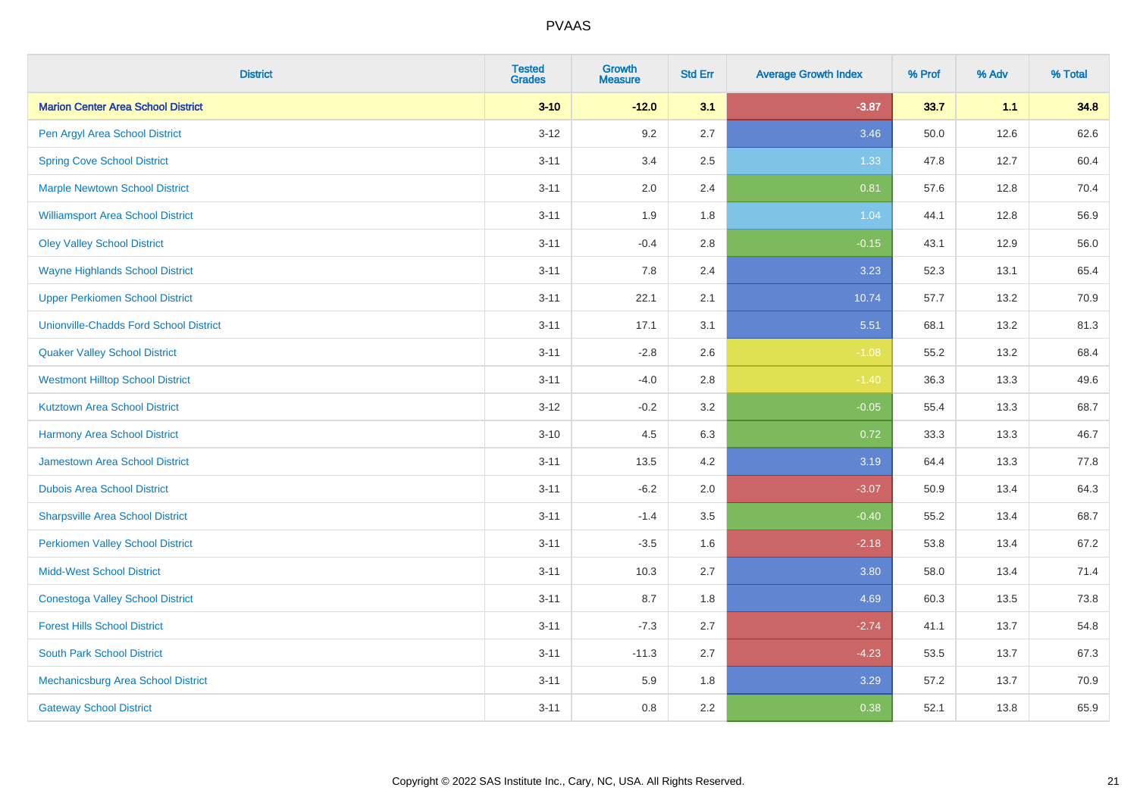| <b>District</b>                               | <b>Tested</b><br><b>Grades</b> | <b>Growth</b><br><b>Measure</b> | <b>Std Err</b> | <b>Average Growth Index</b> | % Prof | % Adv | % Total |
|-----------------------------------------------|--------------------------------|---------------------------------|----------------|-----------------------------|--------|-------|---------|
| <b>Marion Center Area School District</b>     | $3 - 10$                       | $-12.0$                         | 3.1            | $-3.87$                     | 33.7   | 1.1   | 34.8    |
| Pen Argyl Area School District                | $3 - 12$                       | 9.2                             | 2.7            | 3.46                        | 50.0   | 12.6  | 62.6    |
| <b>Spring Cove School District</b>            | $3 - 11$                       | 3.4                             | 2.5            | 1.33                        | 47.8   | 12.7  | 60.4    |
| <b>Marple Newtown School District</b>         | $3 - 11$                       | 2.0                             | 2.4            | 0.81                        | 57.6   | 12.8  | 70.4    |
| <b>Williamsport Area School District</b>      | $3 - 11$                       | 1.9                             | 1.8            | 1.04                        | 44.1   | 12.8  | 56.9    |
| <b>Oley Valley School District</b>            | $3 - 11$                       | $-0.4$                          | 2.8            | $-0.15$                     | 43.1   | 12.9  | 56.0    |
| <b>Wayne Highlands School District</b>        | $3 - 11$                       | 7.8                             | 2.4            | 3.23                        | 52.3   | 13.1  | 65.4    |
| <b>Upper Perkiomen School District</b>        | $3 - 11$                       | 22.1                            | 2.1            | 10.74                       | 57.7   | 13.2  | 70.9    |
| <b>Unionville-Chadds Ford School District</b> | $3 - 11$                       | 17.1                            | 3.1            | 5.51                        | 68.1   | 13.2  | 81.3    |
| <b>Quaker Valley School District</b>          | $3 - 11$                       | $-2.8$                          | 2.6            | $-1.08$                     | 55.2   | 13.2  | 68.4    |
| <b>Westmont Hilltop School District</b>       | $3 - 11$                       | $-4.0$                          | 2.8            | $-1.40$                     | 36.3   | 13.3  | 49.6    |
| <b>Kutztown Area School District</b>          | $3 - 12$                       | $-0.2$                          | 3.2            | $-0.05$                     | 55.4   | 13.3  | 68.7    |
| <b>Harmony Area School District</b>           | $3 - 10$                       | 4.5                             | 6.3            | 0.72                        | 33.3   | 13.3  | 46.7    |
| <b>Jamestown Area School District</b>         | $3 - 11$                       | 13.5                            | 4.2            | 3.19                        | 64.4   | 13.3  | 77.8    |
| <b>Dubois Area School District</b>            | $3 - 11$                       | $-6.2$                          | 2.0            | $-3.07$                     | 50.9   | 13.4  | 64.3    |
| <b>Sharpsville Area School District</b>       | $3 - 11$                       | $-1.4$                          | 3.5            | $-0.40$                     | 55.2   | 13.4  | 68.7    |
| <b>Perkiomen Valley School District</b>       | $3 - 11$                       | $-3.5$                          | 1.6            | $-2.18$                     | 53.8   | 13.4  | 67.2    |
| <b>Midd-West School District</b>              | $3 - 11$                       | 10.3                            | 2.7            | 3.80                        | 58.0   | 13.4  | 71.4    |
| <b>Conestoga Valley School District</b>       | $3 - 11$                       | 8.7                             | 1.8            | 4.69                        | 60.3   | 13.5  | 73.8    |
| <b>Forest Hills School District</b>           | $3 - 11$                       | $-7.3$                          | 2.7            | $-2.74$                     | 41.1   | 13.7  | 54.8    |
| <b>South Park School District</b>             | $3 - 11$                       | $-11.3$                         | 2.7            | $-4.23$                     | 53.5   | 13.7  | 67.3    |
| Mechanicsburg Area School District            | $3 - 11$                       | 5.9                             | 1.8            | 3.29                        | 57.2   | 13.7  | 70.9    |
| <b>Gateway School District</b>                | $3 - 11$                       | 0.8                             | 2.2            | 0.38                        | 52.1   | 13.8  | 65.9    |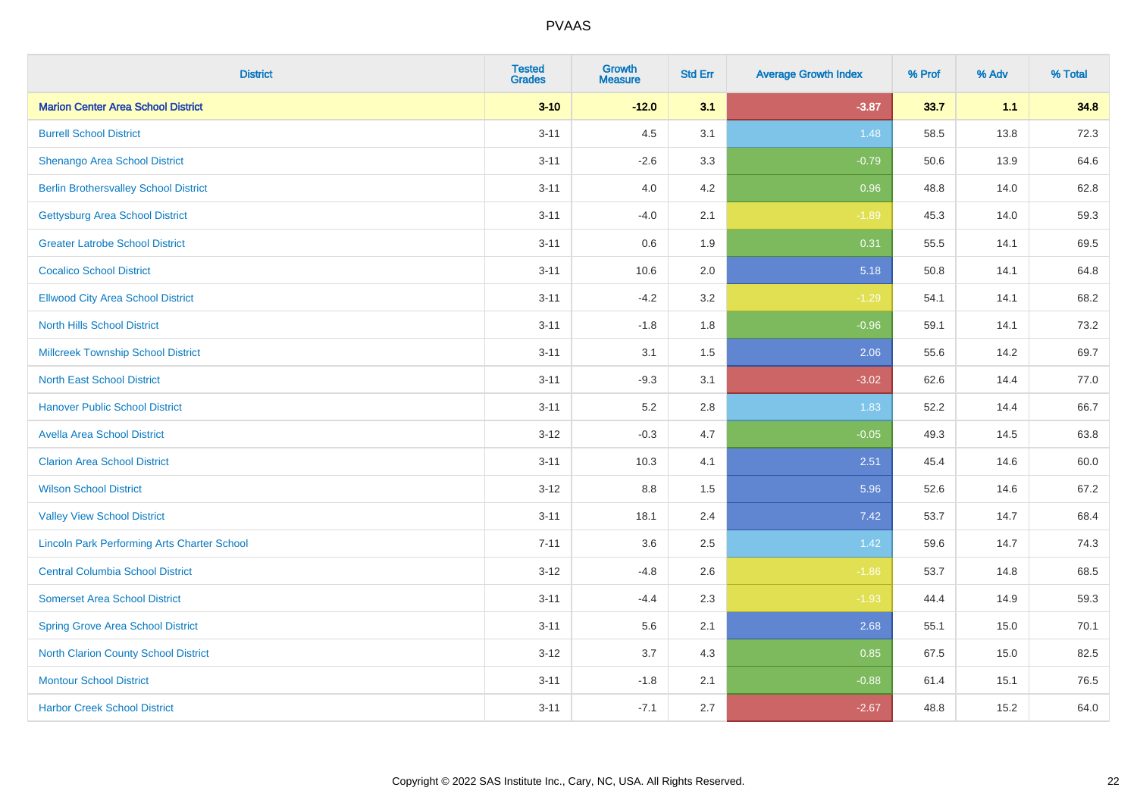| <b>District</b>                                    | <b>Tested</b><br><b>Grades</b> | <b>Growth</b><br><b>Measure</b> | <b>Std Err</b> | <b>Average Growth Index</b> | % Prof | % Adv | % Total |
|----------------------------------------------------|--------------------------------|---------------------------------|----------------|-----------------------------|--------|-------|---------|
| <b>Marion Center Area School District</b>          | $3 - 10$                       | $-12.0$                         | 3.1            | $-3.87$                     | 33.7   | 1.1   | 34.8    |
| <b>Burrell School District</b>                     | $3 - 11$                       | 4.5                             | 3.1            | 1.48                        | 58.5   | 13.8  | 72.3    |
| Shenango Area School District                      | $3 - 11$                       | $-2.6$                          | 3.3            | $-0.79$                     | 50.6   | 13.9  | 64.6    |
| <b>Berlin Brothersvalley School District</b>       | $3 - 11$                       | 4.0                             | 4.2            | 0.96                        | 48.8   | 14.0  | 62.8    |
| <b>Gettysburg Area School District</b>             | $3 - 11$                       | $-4.0$                          | 2.1            | $-1.89$                     | 45.3   | 14.0  | 59.3    |
| <b>Greater Latrobe School District</b>             | $3 - 11$                       | 0.6                             | 1.9            | 0.31                        | 55.5   | 14.1  | 69.5    |
| <b>Cocalico School District</b>                    | $3 - 11$                       | 10.6                            | 2.0            | 5.18                        | 50.8   | 14.1  | 64.8    |
| <b>Ellwood City Area School District</b>           | $3 - 11$                       | $-4.2$                          | 3.2            | $-1.29$                     | 54.1   | 14.1  | 68.2    |
| <b>North Hills School District</b>                 | $3 - 11$                       | $-1.8$                          | 1.8            | $-0.96$                     | 59.1   | 14.1  | 73.2    |
| <b>Millcreek Township School District</b>          | $3 - 11$                       | 3.1                             | 1.5            | 2.06                        | 55.6   | 14.2  | 69.7    |
| <b>North East School District</b>                  | $3 - 11$                       | $-9.3$                          | 3.1            | $-3.02$                     | 62.6   | 14.4  | 77.0    |
| <b>Hanover Public School District</b>              | $3 - 11$                       | 5.2                             | 2.8            | 1.83                        | 52.2   | 14.4  | 66.7    |
| <b>Avella Area School District</b>                 | $3 - 12$                       | $-0.3$                          | 4.7            | $-0.05$                     | 49.3   | 14.5  | 63.8    |
| <b>Clarion Area School District</b>                | $3 - 11$                       | 10.3                            | 4.1            | 2.51                        | 45.4   | 14.6  | 60.0    |
| <b>Wilson School District</b>                      | $3 - 12$                       | $8.8\,$                         | 1.5            | 5.96                        | 52.6   | 14.6  | 67.2    |
| <b>Valley View School District</b>                 | $3 - 11$                       | 18.1                            | 2.4            | 7.42                        | 53.7   | 14.7  | 68.4    |
| <b>Lincoln Park Performing Arts Charter School</b> | $7 - 11$                       | 3.6                             | 2.5            | 1.42                        | 59.6   | 14.7  | 74.3    |
| <b>Central Columbia School District</b>            | $3 - 12$                       | $-4.8$                          | 2.6            | $-1.86$                     | 53.7   | 14.8  | 68.5    |
| <b>Somerset Area School District</b>               | $3 - 11$                       | $-4.4$                          | 2.3            | $-1.93$                     | 44.4   | 14.9  | 59.3    |
| <b>Spring Grove Area School District</b>           | $3 - 11$                       | 5.6                             | 2.1            | 2.68                        | 55.1   | 15.0  | 70.1    |
| <b>North Clarion County School District</b>        | $3 - 12$                       | 3.7                             | 4.3            | 0.85                        | 67.5   | 15.0  | 82.5    |
| <b>Montour School District</b>                     | $3 - 11$                       | $-1.8$                          | 2.1            | $-0.88$                     | 61.4   | 15.1  | 76.5    |
| <b>Harbor Creek School District</b>                | $3 - 11$                       | $-7.1$                          | 2.7            | $-2.67$                     | 48.8   | 15.2  | 64.0    |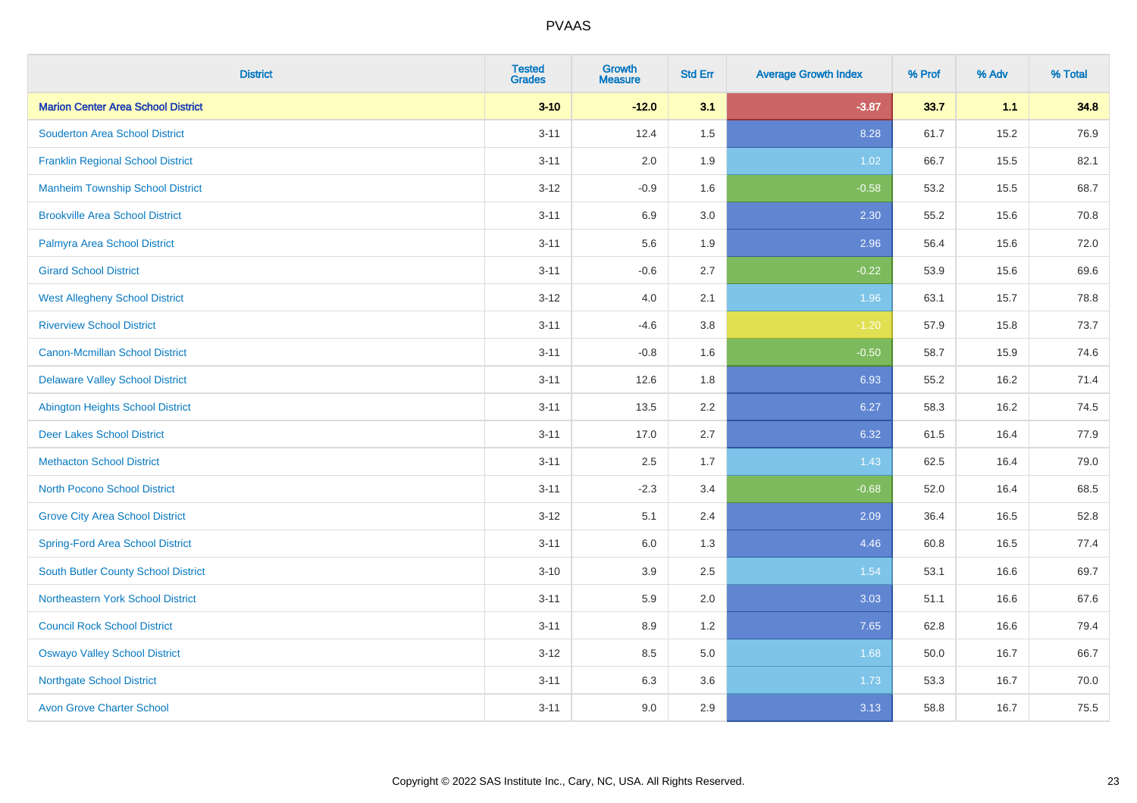| <b>District</b>                            | <b>Tested</b><br><b>Grades</b> | <b>Growth</b><br><b>Measure</b> | <b>Std Err</b> | <b>Average Growth Index</b> | % Prof | % Adv | % Total |
|--------------------------------------------|--------------------------------|---------------------------------|----------------|-----------------------------|--------|-------|---------|
| <b>Marion Center Area School District</b>  | $3 - 10$                       | $-12.0$                         | 3.1            | $-3.87$                     | 33.7   | 1.1   | 34.8    |
| <b>Souderton Area School District</b>      | $3 - 11$                       | 12.4                            | 1.5            | 8.28                        | 61.7   | 15.2  | 76.9    |
| <b>Franklin Regional School District</b>   | $3 - 11$                       | 2.0                             | 1.9            | 1.02                        | 66.7   | 15.5  | 82.1    |
| <b>Manheim Township School District</b>    | $3 - 12$                       | $-0.9$                          | 1.6            | $-0.58$                     | 53.2   | 15.5  | 68.7    |
| <b>Brookville Area School District</b>     | $3 - 11$                       | 6.9                             | 3.0            | 2.30                        | 55.2   | 15.6  | 70.8    |
| Palmyra Area School District               | $3 - 11$                       | 5.6                             | 1.9            | 2.96                        | 56.4   | 15.6  | 72.0    |
| <b>Girard School District</b>              | $3 - 11$                       | $-0.6$                          | 2.7            | $-0.22$                     | 53.9   | 15.6  | 69.6    |
| <b>West Allegheny School District</b>      | $3 - 12$                       | 4.0                             | 2.1            | 1.96                        | 63.1   | 15.7  | 78.8    |
| <b>Riverview School District</b>           | $3 - 11$                       | $-4.6$                          | 3.8            | $-1.20$                     | 57.9   | 15.8  | 73.7    |
| <b>Canon-Mcmillan School District</b>      | $3 - 11$                       | $-0.8$                          | 1.6            | $-0.50$                     | 58.7   | 15.9  | 74.6    |
| <b>Delaware Valley School District</b>     | $3 - 11$                       | 12.6                            | 1.8            | 6.93                        | 55.2   | 16.2  | 71.4    |
| <b>Abington Heights School District</b>    | $3 - 11$                       | 13.5                            | 2.2            | 6.27                        | 58.3   | 16.2  | 74.5    |
| <b>Deer Lakes School District</b>          | $3 - 11$                       | 17.0                            | 2.7            | 6.32                        | 61.5   | 16.4  | 77.9    |
| <b>Methacton School District</b>           | $3 - 11$                       | 2.5                             | 1.7            | 1.43                        | 62.5   | 16.4  | 79.0    |
| <b>North Pocono School District</b>        | $3 - 11$                       | $-2.3$                          | 3.4            | $-0.68$                     | 52.0   | 16.4  | 68.5    |
| <b>Grove City Area School District</b>     | $3 - 12$                       | 5.1                             | 2.4            | 2.09                        | 36.4   | 16.5  | 52.8    |
| <b>Spring-Ford Area School District</b>    | $3 - 11$                       | 6.0                             | 1.3            | 4.46                        | 60.8   | 16.5  | 77.4    |
| <b>South Butler County School District</b> | $3 - 10$                       | 3.9                             | 2.5            | 1.54                        | 53.1   | 16.6  | 69.7    |
| Northeastern York School District          | $3 - 11$                       | 5.9                             | 2.0            | 3.03                        | 51.1   | 16.6  | 67.6    |
| <b>Council Rock School District</b>        | $3 - 11$                       | 8.9                             | 1.2            | 7.65                        | 62.8   | 16.6  | 79.4    |
| <b>Oswayo Valley School District</b>       | $3 - 12$                       | 8.5                             | 5.0            | 1.68                        | 50.0   | 16.7  | 66.7    |
| <b>Northgate School District</b>           | $3 - 11$                       | 6.3                             | 3.6            | 1.73                        | 53.3   | 16.7  | 70.0    |
| <b>Avon Grove Charter School</b>           | $3 - 11$                       | 9.0                             | 2.9            | 3.13                        | 58.8   | 16.7  | 75.5    |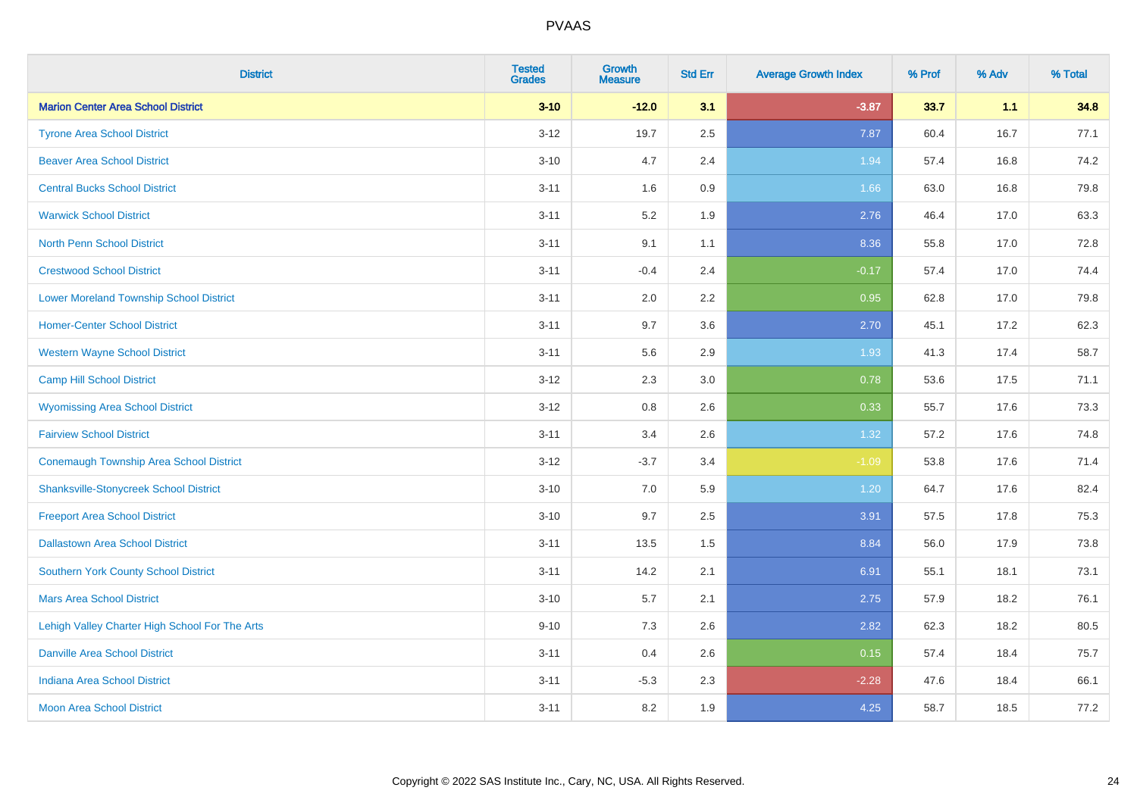| <b>District</b>                                | <b>Tested</b><br><b>Grades</b> | <b>Growth</b><br><b>Measure</b> | <b>Std Err</b> | <b>Average Growth Index</b> | % Prof | % Adv | % Total |
|------------------------------------------------|--------------------------------|---------------------------------|----------------|-----------------------------|--------|-------|---------|
| <b>Marion Center Area School District</b>      | $3 - 10$                       | $-12.0$                         | 3.1            | $-3.87$                     | 33.7   | 1.1   | 34.8    |
| <b>Tyrone Area School District</b>             | $3 - 12$                       | 19.7                            | 2.5            | 7.87                        | 60.4   | 16.7  | 77.1    |
| <b>Beaver Area School District</b>             | $3 - 10$                       | 4.7                             | 2.4            | 1.94                        | 57.4   | 16.8  | 74.2    |
| <b>Central Bucks School District</b>           | $3 - 11$                       | 1.6                             | 0.9            | 1.66                        | 63.0   | 16.8  | 79.8    |
| <b>Warwick School District</b>                 | $3 - 11$                       | 5.2                             | 1.9            | 2.76                        | 46.4   | 17.0  | 63.3    |
| <b>North Penn School District</b>              | $3 - 11$                       | 9.1                             | 1.1            | 8.36                        | 55.8   | 17.0  | 72.8    |
| <b>Crestwood School District</b>               | $3 - 11$                       | $-0.4$                          | 2.4            | $-0.17$                     | 57.4   | 17.0  | 74.4    |
| <b>Lower Moreland Township School District</b> | $3 - 11$                       | 2.0                             | 2.2            | 0.95                        | 62.8   | 17.0  | 79.8    |
| <b>Homer-Center School District</b>            | $3 - 11$                       | 9.7                             | 3.6            | 2.70                        | 45.1   | 17.2  | 62.3    |
| <b>Western Wayne School District</b>           | $3 - 11$                       | 5.6                             | 2.9            | 1.93                        | 41.3   | 17.4  | 58.7    |
| <b>Camp Hill School District</b>               | $3 - 12$                       | 2.3                             | 3.0            | 0.78                        | 53.6   | 17.5  | 71.1    |
| <b>Wyomissing Area School District</b>         | $3 - 12$                       | 0.8                             | 2.6            | 0.33                        | 55.7   | 17.6  | 73.3    |
| <b>Fairview School District</b>                | $3 - 11$                       | 3.4                             | 2.6            | 1.32                        | 57.2   | 17.6  | 74.8    |
| <b>Conemaugh Township Area School District</b> | $3 - 12$                       | $-3.7$                          | 3.4            | $-1.09$                     | 53.8   | 17.6  | 71.4    |
| <b>Shanksville-Stonycreek School District</b>  | $3 - 10$                       | 7.0                             | 5.9            | 1.20                        | 64.7   | 17.6  | 82.4    |
| <b>Freeport Area School District</b>           | $3 - 10$                       | 9.7                             | 2.5            | 3.91                        | 57.5   | 17.8  | 75.3    |
| <b>Dallastown Area School District</b>         | $3 - 11$                       | 13.5                            | 1.5            | 8.84                        | 56.0   | 17.9  | 73.8    |
| <b>Southern York County School District</b>    | $3 - 11$                       | 14.2                            | 2.1            | 6.91                        | 55.1   | 18.1  | 73.1    |
| <b>Mars Area School District</b>               | $3 - 10$                       | 5.7                             | 2.1            | 2.75                        | 57.9   | 18.2  | 76.1    |
| Lehigh Valley Charter High School For The Arts | $9 - 10$                       | 7.3                             | 2.6            | 2.82                        | 62.3   | 18.2  | 80.5    |
| <b>Danville Area School District</b>           | $3 - 11$                       | 0.4                             | 2.6            | 0.15                        | 57.4   | 18.4  | 75.7    |
| <b>Indiana Area School District</b>            | $3 - 11$                       | $-5.3$                          | 2.3            | $-2.28$                     | 47.6   | 18.4  | 66.1    |
| <b>Moon Area School District</b>               | $3 - 11$                       | 8.2                             | 1.9            | 4.25                        | 58.7   | 18.5  | 77.2    |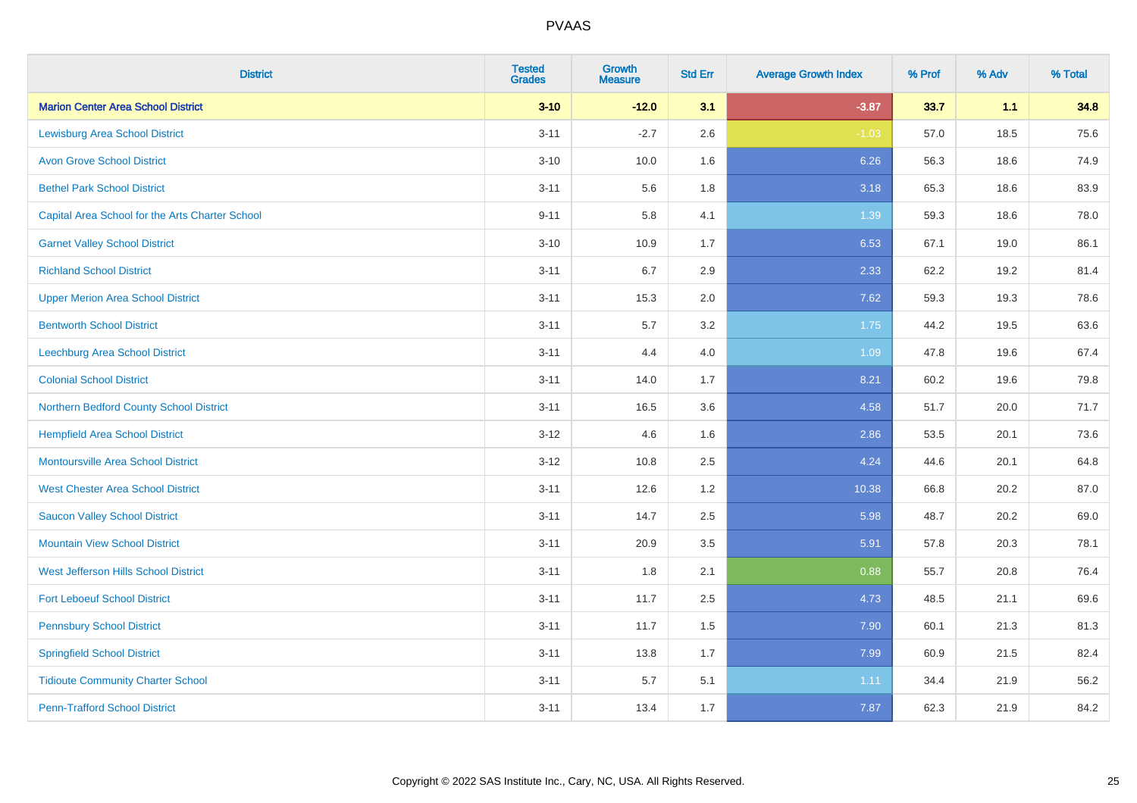| <b>District</b>                                 | <b>Tested</b><br><b>Grades</b> | <b>Growth</b><br><b>Measure</b> | <b>Std Err</b> | <b>Average Growth Index</b> | % Prof | % Adv | % Total |
|-------------------------------------------------|--------------------------------|---------------------------------|----------------|-----------------------------|--------|-------|---------|
| <b>Marion Center Area School District</b>       | $3 - 10$                       | $-12.0$                         | 3.1            | $-3.87$                     | 33.7   | 1.1   | 34.8    |
| <b>Lewisburg Area School District</b>           | $3 - 11$                       | $-2.7$                          | 2.6            | $-1.03$                     | 57.0   | 18.5  | 75.6    |
| <b>Avon Grove School District</b>               | $3 - 10$                       | 10.0                            | 1.6            | 6.26                        | 56.3   | 18.6  | 74.9    |
| <b>Bethel Park School District</b>              | $3 - 11$                       | 5.6                             | 1.8            | 3.18                        | 65.3   | 18.6  | 83.9    |
| Capital Area School for the Arts Charter School | $9 - 11$                       | 5.8                             | 4.1            | 1.39                        | 59.3   | 18.6  | 78.0    |
| <b>Garnet Valley School District</b>            | $3 - 10$                       | 10.9                            | 1.7            | 6.53                        | 67.1   | 19.0  | 86.1    |
| <b>Richland School District</b>                 | $3 - 11$                       | 6.7                             | 2.9            | 2.33                        | 62.2   | 19.2  | 81.4    |
| <b>Upper Merion Area School District</b>        | $3 - 11$                       | 15.3                            | 2.0            | 7.62                        | 59.3   | 19.3  | 78.6    |
| <b>Bentworth School District</b>                | $3 - 11$                       | 5.7                             | 3.2            | 1.75                        | 44.2   | 19.5  | 63.6    |
| <b>Leechburg Area School District</b>           | $3 - 11$                       | 4.4                             | 4.0            | 1.09                        | 47.8   | 19.6  | 67.4    |
| <b>Colonial School District</b>                 | $3 - 11$                       | 14.0                            | 1.7            | 8.21                        | 60.2   | 19.6  | 79.8    |
| Northern Bedford County School District         | $3 - 11$                       | 16.5                            | 3.6            | 4.58                        | 51.7   | 20.0  | 71.7    |
| <b>Hempfield Area School District</b>           | $3 - 12$                       | 4.6                             | 1.6            | 2.86                        | 53.5   | 20.1  | 73.6    |
| <b>Montoursville Area School District</b>       | $3 - 12$                       | 10.8                            | 2.5            | 4.24                        | 44.6   | 20.1  | 64.8    |
| <b>West Chester Area School District</b>        | $3 - 11$                       | 12.6                            | 1.2            | 10.38                       | 66.8   | 20.2  | 87.0    |
| <b>Saucon Valley School District</b>            | $3 - 11$                       | 14.7                            | 2.5            | 5.98                        | 48.7   | 20.2  | 69.0    |
| <b>Mountain View School District</b>            | $3 - 11$                       | 20.9                            | 3.5            | 5.91                        | 57.8   | 20.3  | 78.1    |
| West Jefferson Hills School District            | $3 - 11$                       | 1.8                             | 2.1            | 0.88                        | 55.7   | 20.8  | 76.4    |
| <b>Fort Leboeuf School District</b>             | $3 - 11$                       | 11.7                            | 2.5            | 4.73                        | 48.5   | 21.1  | 69.6    |
| <b>Pennsbury School District</b>                | $3 - 11$                       | 11.7                            | 1.5            | 7.90                        | 60.1   | 21.3  | 81.3    |
| <b>Springfield School District</b>              | $3 - 11$                       | 13.8                            | 1.7            | 7.99                        | 60.9   | 21.5  | 82.4    |
| <b>Tidioute Community Charter School</b>        | $3 - 11$                       | 5.7                             | 5.1            | 1.11                        | 34.4   | 21.9  | 56.2    |
| <b>Penn-Trafford School District</b>            | $3 - 11$                       | 13.4                            | 1.7            | 7.87                        | 62.3   | 21.9  | 84.2    |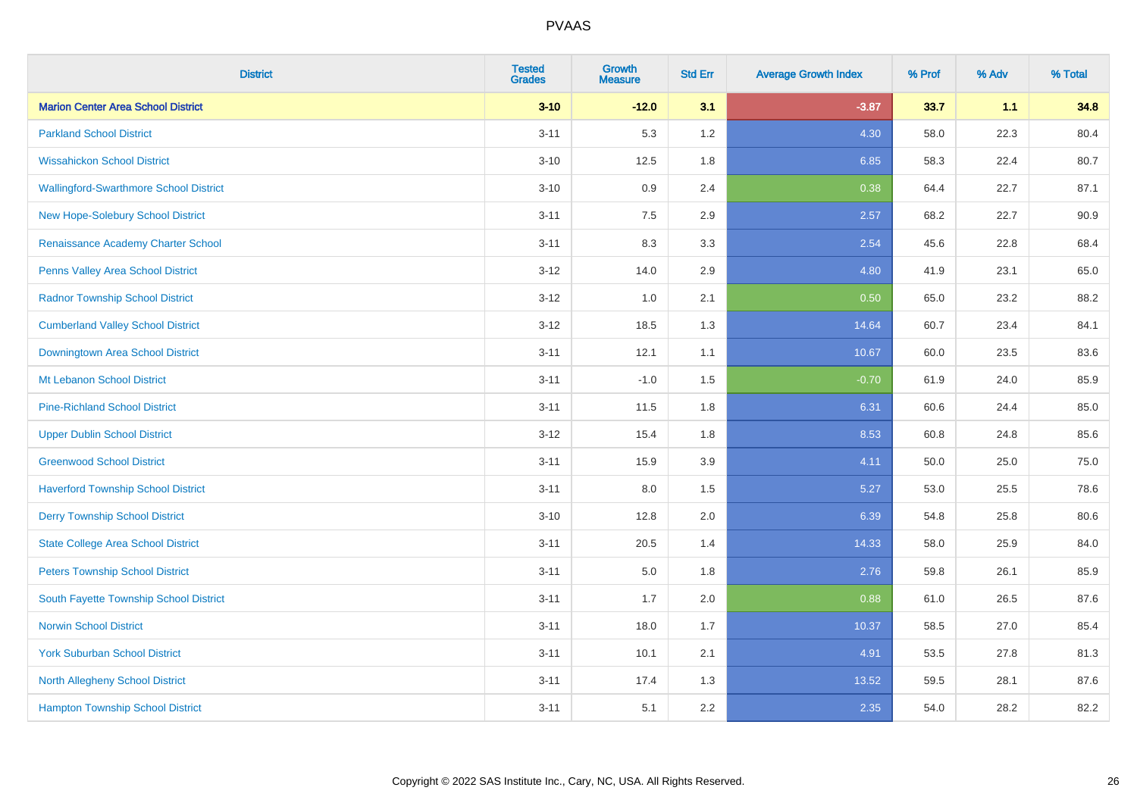| <b>District</b>                           | <b>Tested</b><br><b>Grades</b> | Growth<br><b>Measure</b> | <b>Std Err</b> | <b>Average Growth Index</b> | % Prof | % Adv | % Total |
|-------------------------------------------|--------------------------------|--------------------------|----------------|-----------------------------|--------|-------|---------|
| <b>Marion Center Area School District</b> | $3 - 10$                       | $-12.0$                  | 3.1            | $-3.87$                     | 33.7   | 1.1   | 34.8    |
| <b>Parkland School District</b>           | $3 - 11$                       | 5.3                      | 1.2            | 4.30                        | 58.0   | 22.3  | 80.4    |
| <b>Wissahickon School District</b>        | $3 - 10$                       | 12.5                     | 1.8            | 6.85                        | 58.3   | 22.4  | 80.7    |
| Wallingford-Swarthmore School District    | $3 - 10$                       | 0.9                      | 2.4            | 0.38                        | 64.4   | 22.7  | 87.1    |
| New Hope-Solebury School District         | $3 - 11$                       | 7.5                      | 2.9            | 2.57                        | 68.2   | 22.7  | 90.9    |
| Renaissance Academy Charter School        | $3 - 11$                       | 8.3                      | 3.3            | 2.54                        | 45.6   | 22.8  | 68.4    |
| Penns Valley Area School District         | $3 - 12$                       | 14.0                     | 2.9            | 4.80                        | 41.9   | 23.1  | 65.0    |
| <b>Radnor Township School District</b>    | $3 - 12$                       | 1.0                      | 2.1            | 0.50                        | 65.0   | 23.2  | 88.2    |
| <b>Cumberland Valley School District</b>  | $3 - 12$                       | 18.5                     | 1.3            | 14.64                       | 60.7   | 23.4  | 84.1    |
| Downingtown Area School District          | $3 - 11$                       | 12.1                     | 1.1            | 10.67                       | 60.0   | 23.5  | 83.6    |
| Mt Lebanon School District                | $3 - 11$                       | $-1.0$                   | 1.5            | $-0.70$                     | 61.9   | 24.0  | 85.9    |
| <b>Pine-Richland School District</b>      | $3 - 11$                       | 11.5                     | 1.8            | 6.31                        | 60.6   | 24.4  | 85.0    |
| <b>Upper Dublin School District</b>       | $3 - 12$                       | 15.4                     | 1.8            | 8.53                        | 60.8   | 24.8  | 85.6    |
| <b>Greenwood School District</b>          | $3 - 11$                       | 15.9                     | 3.9            | 4.11                        | 50.0   | 25.0  | 75.0    |
| <b>Haverford Township School District</b> | $3 - 11$                       | $8.0\,$                  | 1.5            | 5.27                        | 53.0   | 25.5  | 78.6    |
| <b>Derry Township School District</b>     | $3 - 10$                       | 12.8                     | 2.0            | 6.39                        | 54.8   | 25.8  | 80.6    |
| <b>State College Area School District</b> | $3 - 11$                       | 20.5                     | 1.4            | 14.33                       | 58.0   | 25.9  | 84.0    |
| <b>Peters Township School District</b>    | $3 - 11$                       | 5.0                      | 1.8            | 2.76                        | 59.8   | 26.1  | 85.9    |
| South Fayette Township School District    | $3 - 11$                       | 1.7                      | 2.0            | 0.88                        | 61.0   | 26.5  | 87.6    |
| <b>Norwin School District</b>             | $3 - 11$                       | 18.0                     | 1.7            | 10.37                       | 58.5   | 27.0  | 85.4    |
| <b>York Suburban School District</b>      | $3 - 11$                       | 10.1                     | 2.1            | 4.91                        | 53.5   | 27.8  | 81.3    |
| <b>North Allegheny School District</b>    | $3 - 11$                       | 17.4                     | 1.3            | 13.52                       | 59.5   | 28.1  | 87.6    |
| <b>Hampton Township School District</b>   | $3 - 11$                       | 5.1                      | 2.2            | 2.35                        | 54.0   | 28.2  | 82.2    |